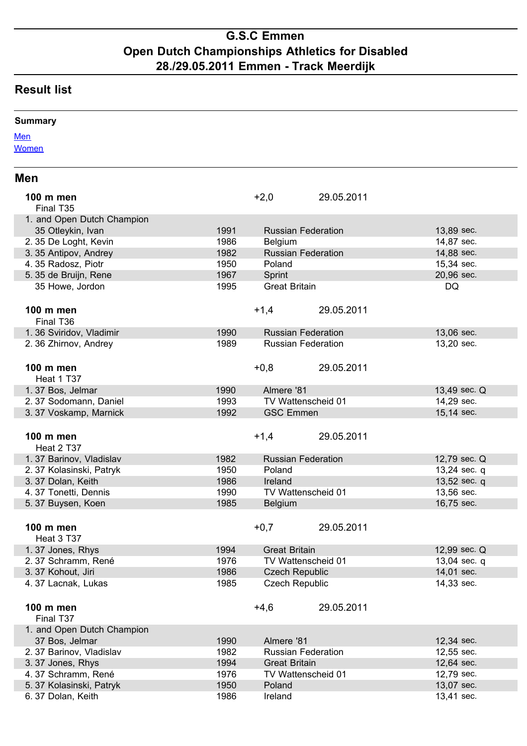## **G.S.C Emmen Open Dutch Championships Athletics for Disabled 28./29.05.2011 Emmen - Track Meerdijk**

## **Result list**

| <b>Summary</b>                               |      |                      |                           |                |
|----------------------------------------------|------|----------------------|---------------------------|----------------|
| <b>Men</b>                                   |      |                      |                           |                |
| <b>Women</b>                                 |      |                      |                           |                |
|                                              |      |                      |                           |                |
| <b>Men</b>                                   |      |                      |                           |                |
| 100 m men                                    |      | $+2,0$               | 29.05.2011                |                |
| Final T35                                    |      |                      |                           |                |
| 1. and Open Dutch Champion                   |      |                      |                           |                |
| 35 Otleykin, Ivan                            | 1991 |                      | <b>Russian Federation</b> | 13,89 sec.     |
| 2. 35 De Loght, Kevin                        | 1986 | <b>Belgium</b>       |                           | 14,87 sec.     |
| 3.35 Antipov, Andrey                         | 1982 |                      | <b>Russian Federation</b> | 14,88 sec.     |
| 4.35 Radosz, Piotr                           | 1950 | Poland               |                           | 15,34 sec.     |
| 5. 35 de Bruijn, Rene                        | 1967 | Sprint               |                           | 20,96 sec.     |
| 35 Howe, Jordon                              | 1995 | <b>Great Britain</b> |                           | <b>DQ</b>      |
|                                              |      |                      |                           |                |
| 100 m men                                    |      | $+1,4$               | 29.05.2011                |                |
| Final T36                                    |      |                      |                           |                |
| 1.36 Sviridov, Vladimir                      | 1990 |                      | <b>Russian Federation</b> | 13,06 sec.     |
| 2. 36 Zhirnov, Andrey                        | 1989 |                      | <b>Russian Federation</b> | 13,20 sec.     |
|                                              |      |                      |                           |                |
| 100 m men                                    |      | $+0,8$               | 29.05.2011                |                |
| Heat 1 T37                                   |      |                      |                           |                |
| 1.37 Bos, Jelmar                             | 1990 | Almere '81           |                           | 13,49 sec. Q   |
| 2.37 Sodomann, Daniel                        | 1993 |                      | TV Wattenscheid 01        | 14,29 sec.     |
| 3.37 Voskamp, Marnick                        | 1992 | <b>GSC Emmen</b>     |                           | 15,14 sec.     |
|                                              |      |                      |                           |                |
| 100 m men                                    |      | $+1,4$               | 29.05.2011                |                |
| Heat 2 T37                                   |      |                      |                           |                |
| 1.37 Barinov, Vladislav                      | 1982 |                      | <b>Russian Federation</b> | 12,79 sec. Q   |
| 2.37 Kolasinski, Patryk                      | 1950 | Poland               |                           | $13,24$ sec. q |
| 3.37 Dolan, Keith                            | 1986 | Ireland              |                           | 13,52 sec. q   |
| 4.37 Tonetti, Dennis                         | 1990 |                      | TV Wattenscheid 01        | 13,56 sec.     |
| 5.37 Buysen, Koen                            | 1985 | <b>Belgium</b>       |                           | 16,75 sec.     |
|                                              |      |                      |                           |                |
| 100 m men                                    |      | $+0,7$               | 29.05.2011                |                |
| Heat 3 T37                                   |      |                      |                           |                |
| 1.37 Jones, Rhys                             | 1994 | <b>Great Britain</b> |                           | 12,99 sec. Q   |
| 2.37 Schramm, René                           | 1976 |                      | TV Wattenscheid 01        | 13,04 sec. q   |
| 3.37 Kohout, Jiri                            | 1986 |                      | <b>Czech Republic</b>     | 14,01 sec.     |
| 4.37 Lacnak, Lukas                           | 1985 |                      | <b>Czech Republic</b>     | 14,33 sec.     |
|                                              |      |                      |                           |                |
| 100 m men                                    |      | $+4,6$               | 29.05.2011                |                |
| Final T37                                    |      |                      |                           |                |
|                                              |      |                      |                           |                |
| 1. and Open Dutch Champion<br>37 Bos, Jelmar | 1990 | Almere '81           |                           | 12,34 sec.     |
| 2.37 Barinov, Vladislav                      | 1982 |                      | <b>Russian Federation</b> | 12,55 sec.     |
| 3.37 Jones, Rhys                             | 1994 | <b>Great Britain</b> |                           | 12,64 sec.     |
| 4.37 Schramm, René                           | 1976 |                      | TV Wattenscheid 01        | 12,79 sec.     |
| 5.37 Kolasinski, Patryk                      | 1950 | Poland               |                           | 13,07 sec.     |
| 6.37 Dolan, Keith                            | 1986 | Ireland              |                           | 13,41 sec.     |
|                                              |      |                      |                           |                |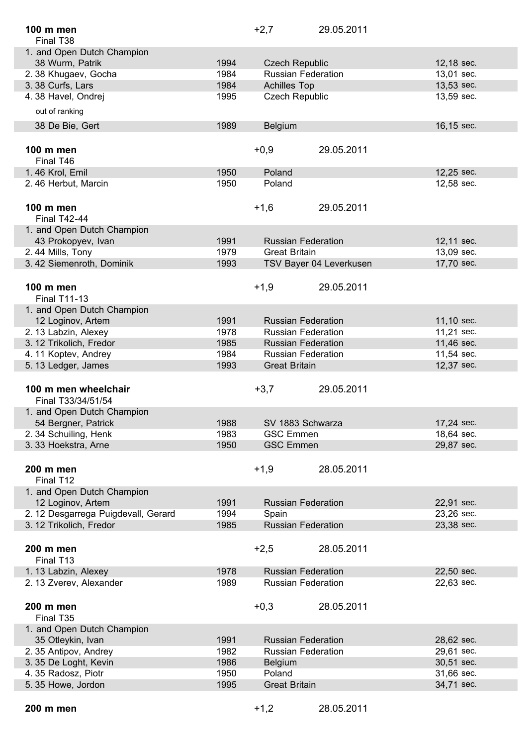| 100 m men                           |      | $+2,7$                | 29.05.2011                |            |
|-------------------------------------|------|-----------------------|---------------------------|------------|
| Final T38                           |      |                       |                           |            |
| 1. and Open Dutch Champion          |      |                       |                           |            |
| 38 Wurm, Patrik                     | 1994 | <b>Czech Republic</b> |                           | 12,18 sec. |
| 2.38 Khugaev, Gocha                 | 1984 |                       | <b>Russian Federation</b> | 13,01 sec. |
| 3.38 Curfs, Lars                    | 1984 | <b>Achilles Top</b>   |                           | 13,53 sec. |
| 4.38 Havel, Ondrej                  | 1995 | <b>Czech Republic</b> |                           | 13,59 sec. |
| out of ranking                      |      |                       |                           |            |
| 38 De Bie, Gert                     | 1989 | <b>Belgium</b>        |                           | 16,15 sec. |
|                                     |      |                       |                           |            |
| 100 m men                           |      | $+0,9$                | 29.05.2011                |            |
| Final T46                           |      |                       |                           |            |
| 1.46 Krol, Emil                     | 1950 | Poland                |                           | 12,25 sec. |
| 2.46 Herbut, Marcin                 | 1950 | Poland                |                           | 12,58 sec. |
|                                     |      |                       |                           |            |
| 100 m men                           |      | $+1,6$                | 29.05.2011                |            |
| <b>Final T42-44</b>                 |      |                       |                           |            |
| 1. and Open Dutch Champion          |      |                       |                           |            |
| 43 Prokopyev, Ivan                  | 1991 |                       | <b>Russian Federation</b> | 12,11 sec. |
| 2.44 Mills, Tony                    | 1979 | <b>Great Britain</b>  |                           | 13,09 sec. |
| 3.42 Siemenroth, Dominik            | 1993 |                       | TSV Bayer 04 Leverkusen   | 17,70 sec. |
|                                     |      |                       |                           |            |
| 100 m men                           |      | $+1,9$                | 29.05.2011                |            |
| <b>Final T11-13</b>                 |      |                       |                           |            |
| 1. and Open Dutch Champion          |      |                       |                           |            |
| 12 Loginov, Artem                   | 1991 |                       | <b>Russian Federation</b> | 11,10 sec. |
| 2. 13 Labzin, Alexey                | 1978 |                       | <b>Russian Federation</b> | 11,21 sec. |
| 3. 12 Trikolich, Fredor             | 1985 |                       | <b>Russian Federation</b> | 11,46 sec. |
| 4.11 Koptev, Andrey                 | 1984 |                       | <b>Russian Federation</b> | 11,54 sec. |
| 5. 13 Ledger, James                 | 1993 | <b>Great Britain</b>  |                           | 12,37 sec. |
|                                     |      |                       |                           |            |
| 100 m men wheelchair                |      | $+3,7$                | 29.05.2011                |            |
| Final T33/34/51/54                  |      |                       |                           |            |
| 1. and Open Dutch Champion          |      |                       |                           |            |
| 54 Bergner, Patrick                 | 1988 |                       | SV 1883 Schwarza          | 17,24 sec. |
| 2.34 Schuiling, Henk                | 1983 | <b>GSC Emmen</b>      |                           | 18,64 sec. |
| 3.33 Hoekstra, Arne                 | 1950 | <b>GSC Emmen</b>      |                           | 29,87 sec. |
|                                     |      |                       |                           |            |
| 200 m men                           |      | $+1,9$                | 28.05.2011                |            |
| Final T12                           |      |                       |                           |            |
| 1. and Open Dutch Champion          |      |                       |                           |            |
| 12 Loginov, Artem                   | 1991 |                       | <b>Russian Federation</b> | 22,91 sec. |
| 2. 12 Desgarrega Puigdevall, Gerard | 1994 | Spain                 |                           | 23,26 sec. |
| 3. 12 Trikolich, Fredor             | 1985 |                       | <b>Russian Federation</b> | 23,38 sec. |
|                                     |      |                       |                           |            |
| 200 m men                           |      | $+2,5$                | 28.05.2011                |            |
| Final T13                           |      |                       |                           |            |
| 1. 13 Labzin, Alexey                | 1978 |                       | <b>Russian Federation</b> | 22,50 sec. |
| 2. 13 Zverev, Alexander             | 1989 |                       | <b>Russian Federation</b> | 22,63 sec. |
|                                     |      |                       |                           |            |
| 200 m men                           |      | $+0,3$                | 28.05.2011                |            |
| Final T35                           |      |                       |                           |            |
| 1. and Open Dutch Champion          |      |                       |                           |            |
| 35 Otleykin, Ivan                   | 1991 |                       | <b>Russian Federation</b> | 28,62 sec. |
| 2. 35 Antipov, Andrey               | 1982 |                       | <b>Russian Federation</b> | 29,61 sec. |
| 3.35 De Loght, Kevin                | 1986 | Belgium               |                           | 30,51 sec. |
| 4.35 Radosz, Piotr                  | 1950 | Poland                |                           | 31,66 sec. |
| 5.35 Howe, Jordon                   | 1995 | <b>Great Britain</b>  |                           | 34,71 sec. |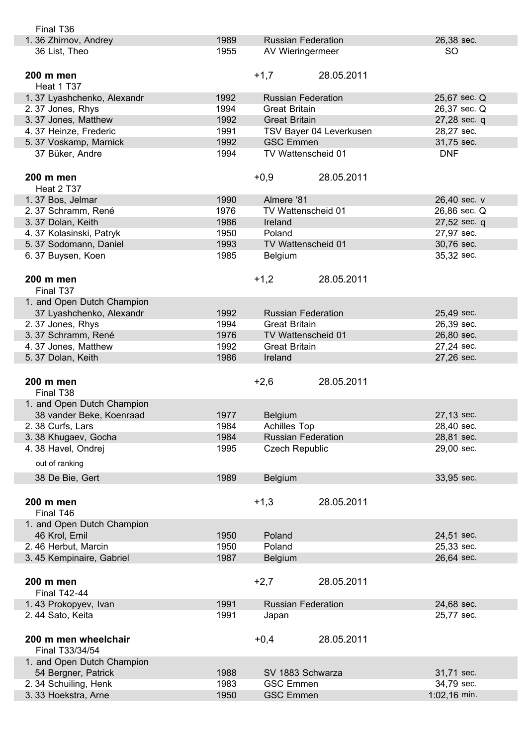| Final T36                  |      |                           |                         |              |
|----------------------------|------|---------------------------|-------------------------|--------------|
| 1.36 Zhirnov, Andrey       | 1989 | <b>Russian Federation</b> |                         | 26,38 sec.   |
| 36 List, Theo              | 1955 | AV Wieringermeer          |                         | <b>SO</b>    |
|                            |      |                           |                         |              |
| 200 m men                  |      | $+1,7$                    | 28.05.2011              |              |
| Heat 1 T37                 |      |                           |                         |              |
| 1.37 Lyashchenko, Alexandr | 1992 | <b>Russian Federation</b> |                         | 25,67 sec. Q |
| 2.37 Jones, Rhys           | 1994 | <b>Great Britain</b>      |                         | 26,37 sec. Q |
| 3.37 Jones, Matthew        | 1992 | <b>Great Britain</b>      |                         | 27,28 sec. q |
|                            |      |                           |                         |              |
| 4.37 Heinze, Frederic      | 1991 |                           | TSV Bayer 04 Leverkusen | 28,27 sec.   |
| 5.37 Voskamp, Marnick      | 1992 | <b>GSC Emmen</b>          |                         | 31,75 sec.   |
| 37 Büker, Andre            | 1994 | TV Wattenscheid 01        |                         | <b>DNF</b>   |
|                            |      |                           |                         |              |
| 200 m men                  |      | $+0,9$                    | 28.05.2011              |              |
| Heat 2 T37                 |      |                           |                         |              |
| 1.37 Bos, Jelmar           | 1990 | Almere '81                |                         | 26,40 sec. v |
| 2. 37 Schramm, René        | 1976 | TV Wattenscheid 01        |                         | 26,86 sec. Q |
| 3.37 Dolan, Keith          | 1986 | Ireland                   |                         | 27,52 sec. q |
| 4.37 Kolasinski, Patryk    | 1950 | Poland                    |                         | 27,97 sec.   |
| 5.37 Sodomann, Daniel      | 1993 | TV Wattenscheid 01        |                         | 30,76 sec.   |
| 6.37 Buysen, Koen          | 1985 | Belgium                   |                         | 35,32 sec.   |
|                            |      |                           |                         |              |
|                            |      |                           |                         |              |
| 200 m men                  |      | $+1,2$                    | 28.05.2011              |              |
| Final T37                  |      |                           |                         |              |
| 1. and Open Dutch Champion |      |                           |                         |              |
| 37 Lyashchenko, Alexandr   | 1992 | <b>Russian Federation</b> |                         | 25,49 sec.   |
| 2.37 Jones, Rhys           | 1994 | <b>Great Britain</b>      |                         | 26,39 sec.   |
| 3.37 Schramm, René         | 1976 | TV Wattenscheid 01        |                         | 26,80 sec.   |
| 4.37 Jones, Matthew        | 1992 | <b>Great Britain</b>      |                         | 27,24 sec.   |
| 5.37 Dolan, Keith          | 1986 | Ireland                   |                         | 27,26 sec.   |
|                            |      |                           |                         |              |
|                            |      |                           |                         |              |
|                            |      |                           |                         |              |
| 200 m men                  |      | $+2,6$                    | 28.05.2011              |              |
| Final T <sub>38</sub>      |      |                           |                         |              |
| 1. and Open Dutch Champion |      |                           |                         |              |
| 38 vander Beke, Koenraad   | 1977 | <b>Belgium</b>            |                         | 27,13 sec.   |
| 2.38 Curfs, Lars           | 1984 | <b>Achilles Top</b>       |                         | 28,40 sec.   |
| 3.38 Khugaev, Gocha        | 1984 | <b>Russian Federation</b> |                         | 28,81 sec.   |
| 4.38 Havel, Ondrej         | 1995 | <b>Czech Republic</b>     |                         | 29,00 sec.   |
| out of ranking             |      |                           |                         |              |
|                            |      |                           |                         |              |
| 38 De Bie, Gert            | 1989 | <b>Belgium</b>            |                         | 33,95 sec.   |
|                            |      |                           |                         |              |
| 200 m men                  |      | $+1,3$                    | 28.05.2011              |              |
| Final T46                  |      |                           |                         |              |
| 1. and Open Dutch Champion |      |                           |                         |              |
| 46 Krol, Emil              | 1950 | Poland                    |                         | 24,51 sec.   |
| 2.46 Herbut, Marcin        | 1950 | Poland                    |                         | 25,33 sec.   |
| 3.45 Kempinaire, Gabriel   | 1987 | <b>Belgium</b>            |                         | 26,64 sec.   |
|                            |      |                           |                         |              |
|                            |      |                           |                         |              |
| 200 m men                  |      | $+2,7$                    | 28.05.2011              |              |
| <b>Final T42-44</b>        |      |                           |                         |              |
| 1.43 Prokopyev, Ivan       | 1991 | <b>Russian Federation</b> |                         | 24,68 sec.   |
| 2.44 Sato, Keita           | 1991 | Japan                     |                         | 25,77 sec.   |
|                            |      |                           |                         |              |
| 200 m men wheelchair       |      | $+0,4$                    | 28.05.2011              |              |
| Final T33/34/54            |      |                           |                         |              |
| 1. and Open Dutch Champion |      |                           |                         |              |
| 54 Bergner, Patrick        | 1988 | SV 1883 Schwarza          |                         | 31,71 sec.   |
| 2.34 Schuiling, Henk       | 1983 | <b>GSC Emmen</b>          |                         | 34,79 sec.   |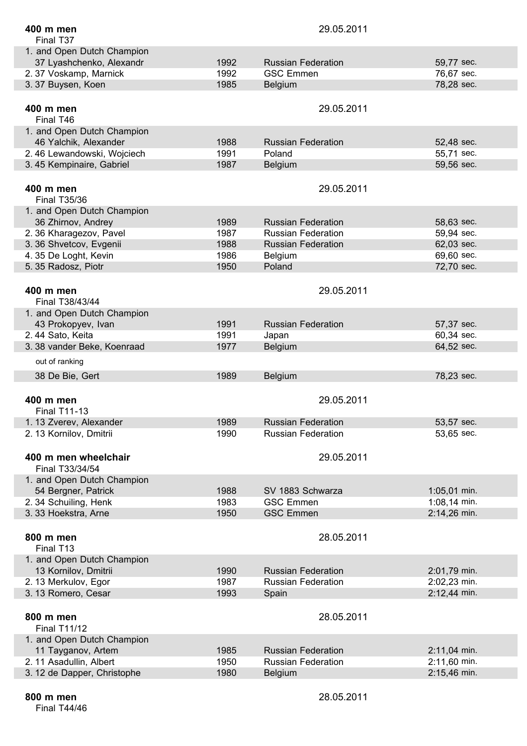| 400 m men                   |      | 29.05.2011                |                |
|-----------------------------|------|---------------------------|----------------|
| Final T37                   |      |                           |                |
| 1. and Open Dutch Champion  |      |                           |                |
| 37 Lyashchenko, Alexandr    | 1992 | <b>Russian Federation</b> | 59,77 sec.     |
| 2.37 Voskamp, Marnick       | 1992 | <b>GSC Emmen</b>          | 76,67 sec.     |
| 3.37 Buysen, Koen           | 1985 | <b>Belgium</b>            | 78,28 sec.     |
|                             |      |                           |                |
| 400 m men                   |      | 29.05.2011                |                |
| Final T46                   |      |                           |                |
| 1. and Open Dutch Champion  |      |                           |                |
| 46 Yalchik, Alexander       | 1988 | <b>Russian Federation</b> | 52,48 sec.     |
| 2.46 Lewandowski, Wojciech  | 1991 | Poland                    | 55,71 sec.     |
| 3.45 Kempinaire, Gabriel    | 1987 | <b>Belgium</b>            | 59,56 sec.     |
|                             |      |                           |                |
| 400 m men                   |      | 29.05.2011                |                |
| <b>Final T35/36</b>         |      |                           |                |
| 1. and Open Dutch Champion  |      |                           |                |
| 36 Zhirnov, Andrey          | 1989 | <b>Russian Federation</b> | 58,63 sec.     |
| 2.36 Kharagezov, Pavel      | 1987 | <b>Russian Federation</b> | 59,94 sec.     |
| 3.36 Shvetcov, Evgenii      | 1988 | <b>Russian Federation</b> | 62,03 sec.     |
| 4.35 De Loght, Kevin        | 1986 | Belgium                   | 69,60 sec.     |
| 5.35 Radosz, Piotr          | 1950 | Poland                    | 72,70 sec.     |
|                             |      |                           |                |
| 400 m men                   |      | 29.05.2011                |                |
| Final T38/43/44             |      |                           |                |
| 1. and Open Dutch Champion  |      |                           |                |
| 43 Prokopyev, Ivan          | 1991 | <b>Russian Federation</b> | 57,37 sec.     |
| 2.44 Sato, Keita            | 1991 | Japan                     | 60,34 sec.     |
| 3. 38 vander Beke, Koenraad | 1977 | Belgium                   | 64,52 sec.     |
| out of ranking              |      |                           |                |
|                             |      |                           |                |
| 38 De Bie, Gert             | 1989 | Belgium                   | 78,23 sec.     |
|                             |      |                           |                |
| 400 m men                   |      | 29.05.2011                |                |
| <b>Final T11-13</b>         |      |                           |                |
| 1. 13 Zverev, Alexander     | 1989 | <b>Russian Federation</b> | 53,57 sec.     |
| 2. 13 Kornilov, Dmitrii     | 1990 | <b>Russian Federation</b> | 53,65 sec.     |
|                             |      |                           |                |
| 400 m men wheelchair        |      | 29.05.2011                |                |
| Final T33/34/54             |      |                           |                |
| 1. and Open Dutch Champion  |      |                           |                |
| 54 Bergner, Patrick         | 1988 | SV 1883 Schwarza          | $1:05,01$ min. |
| 2.34 Schuiling, Henk        | 1983 | <b>GSC Emmen</b>          | 1:08,14 min.   |
| 3.33 Hoekstra, Arne         | 1950 | <b>GSC Emmen</b>          | 2:14,26 min.   |
|                             |      |                           |                |
| 800 m men                   |      | 28.05.2011                |                |
| Final T13                   |      |                           |                |
| 1. and Open Dutch Champion  |      |                           |                |
| 13 Kornilov, Dmitrii        | 1990 | <b>Russian Federation</b> | 2:01,79 min.   |
| 2.13 Merkulov, Egor         | 1987 | <b>Russian Federation</b> | 2:02,23 min.   |
| 3.13 Romero, Cesar          | 1993 | Spain                     | 2:12,44 min.   |
|                             |      |                           |                |
| 800 m men                   |      | 28.05.2011                |                |
| <b>Final T11/12</b>         |      |                           |                |
| 1. and Open Dutch Champion  |      |                           |                |
| 11 Tayganov, Artem          | 1985 | <b>Russian Federation</b> | 2:11,04 min.   |
| 2. 11 Asadullin, Albert     | 1950 | <b>Russian Federation</b> | 2:11,60 min.   |
| 3. 12 de Dapper, Christophe | 1980 | <b>Belgium</b>            | 2:15,46 min.   |
|                             |      |                           |                |

Final T44/46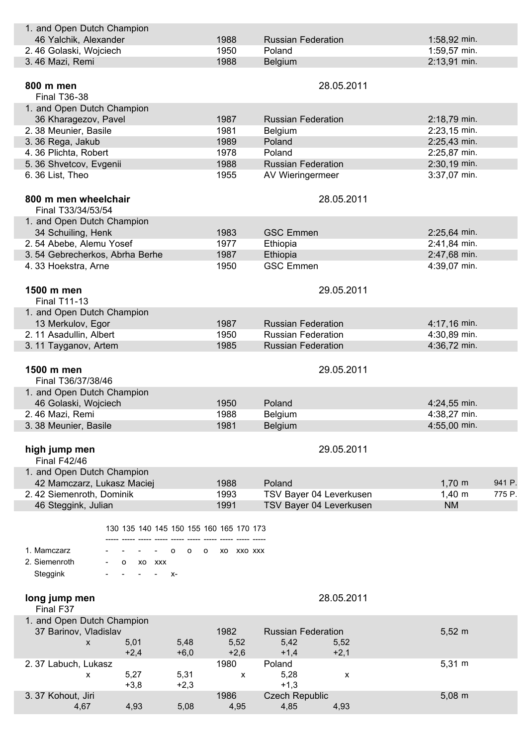| 1. and Open Dutch Champion                   |                    |                           |                       |
|----------------------------------------------|--------------------|---------------------------|-----------------------|
| 46 Yalchik, Alexander                        | 1988               | <b>Russian Federation</b> | 1:58,92 min.          |
| 2.46 Golaski, Wojciech                       | 1950               | Poland                    | 1:59,57 min.          |
| 3.46 Mazi, Remi                              | 1988               | Belgium                   | 2:13,91 min.          |
|                                              |                    |                           |                       |
| 800 m men                                    |                    | 28.05.2011                |                       |
| <b>Final T36-38</b>                          |                    |                           |                       |
| 1. and Open Dutch Champion                   |                    |                           |                       |
| 36 Kharagezov, Pavel                         | 1987               | <b>Russian Federation</b> | 2:18,79 min.          |
| 2.38 Meunier, Basile                         | 1981               | Belgium                   | 2:23,15 min.          |
| 3.36 Rega, Jakub                             | 1989               | Poland                    | 2:25,43 min.          |
| 4.36 Plichta, Robert                         | 1978               | Poland                    | 2:25,87 min.          |
| 5. 36 Shvetcov, Evgenii                      | 1988               | <b>Russian Federation</b> | 2:30,19 min.          |
| 6.36 List, Theo                              | 1955               | AV Wieringermeer          | 3:37,07 min.          |
|                                              |                    |                           |                       |
| 800 m men wheelchair                         |                    | 28.05.2011                |                       |
| Final T33/34/53/54                           |                    |                           |                       |
| 1. and Open Dutch Champion                   |                    |                           |                       |
| 34 Schuiling, Henk                           | 1983               | <b>GSC Emmen</b>          | 2:25,64 min.          |
| 2.54 Abebe, Alemu Yosef                      | 1977               | Ethiopia                  | 2:41,84 min.          |
| 3.54 Gebrecherkos, Abrha Berhe               | 1987               | Ethiopia                  | 2:47,68 min.          |
| 4.33 Hoekstra, Arne                          | 1950               | <b>GSC Emmen</b>          | 4:39,07 min.          |
|                                              |                    |                           |                       |
| 1500 m men                                   |                    | 29.05.2011                |                       |
| <b>Final T11-13</b>                          |                    |                           |                       |
| 1. and Open Dutch Champion                   |                    |                           |                       |
|                                              | 1987               | <b>Russian Federation</b> | 4:17,16 min.          |
| 13 Merkulov, Egor<br>2. 11 Asadullin, Albert | 1950               | <b>Russian Federation</b> | 4:30,89 min.          |
|                                              | 1985               | <b>Russian Federation</b> | 4:36,72 min.          |
| 3.11 Tayganov, Artem                         |                    |                           |                       |
|                                              |                    |                           |                       |
| 1500 m men                                   |                    | 29.05.2011                |                       |
| Final T36/37/38/46                           |                    |                           |                       |
| 1. and Open Dutch Champion                   |                    |                           |                       |
| 46 Golaski, Wojciech                         | 1950               | Poland                    | 4:24,55 min.          |
| 2.46 Mazi, Remi                              | 1988               | <b>Belgium</b>            | 4:38,27 min.          |
| 3.38 Meunier, Basile                         | 1981               | Belgium                   | 4:55,00 min.          |
|                                              |                    |                           |                       |
| high jump men                                |                    | 29.05.2011                |                       |
| <b>Final F42/46</b>                          |                    |                           |                       |
| 1. and Open Dutch Champion                   |                    |                           |                       |
| 42 Mamczarz, Lukasz Maciej                   | 1988               | Poland                    | $1,70 \; m$<br>941 P. |
| 2.42 Siemenroth, Dominik                     | 1993               | TSV Bayer 04 Leverkusen   | $1,40 \; m$<br>775 P. |
| 46 Steggink, Julian                          | 1991               | TSV Bayer 04 Leverkusen   | <b>NM</b>             |
|                                              |                    |                           |                       |
| 130 135 140 145 150 155 160 165 170 173      |                    |                           |                       |
|                                              |                    |                           |                       |
| 1. Mamczarz<br>о<br>o                        | O XO XXO XXX       |                           |                       |
| 2. Siemenroth<br>O XO XXX                    |                    |                           |                       |
| Steggink<br>$\overline{\phantom{a}}$<br>$X-$ |                    |                           |                       |
|                                              |                    |                           |                       |
| long jump men                                |                    | 28.05.2011                |                       |
| Final F37                                    |                    |                           |                       |
| 1. and Open Dutch Champion                   |                    |                           |                       |
| 37 Barinov, Vladislav                        | 1982               | <b>Russian Federation</b> | $5,52 \; m$           |
| 5,01<br>5,48<br>X                            | 5,52               | 5,42<br>5,52              |                       |
| $+2,4$<br>$+6,0$                             | $+2,6$             | $+1,4$<br>$+2,1$          |                       |
| 2.37 Labuch, Lukasz                          | 1980               | Poland                    | $5,31 \; m$           |
| 5,27<br>5,31<br>x                            | $\pmb{\mathsf{X}}$ | 5,28<br>X                 |                       |
| $+3,8$<br>$+2,3$                             |                    | $+1,3$                    |                       |
| 3.37 Kohout, Jiri                            | 1986               | <b>Czech Republic</b>     | $5,08 \, \text{m}$    |
| 4,93<br>5,08<br>4,67                         | 4,95               | 4,85<br>4,93              |                       |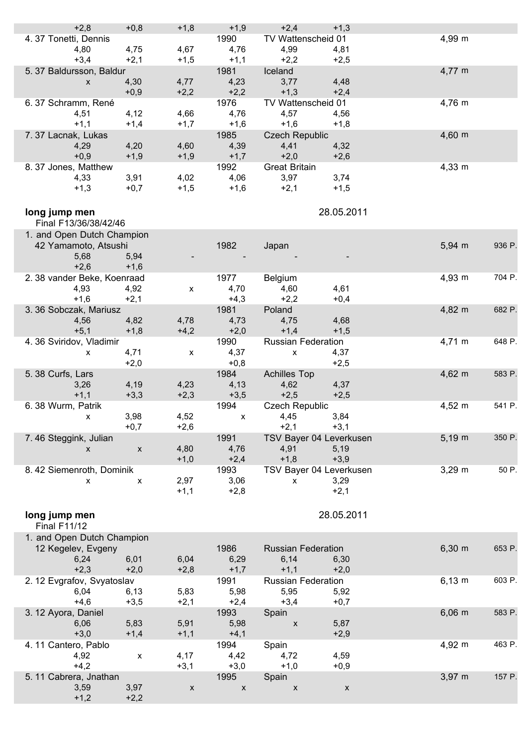| $+2,8$                     | $+0,8$             | $+1,8$             | $+1,9$                    | $+2,4$                    | $+1,3$             |             |        |
|----------------------------|--------------------|--------------------|---------------------------|---------------------------|--------------------|-------------|--------|
| 4.37 Tonetti, Dennis       |                    |                    | 1990                      | TV Wattenscheid 01        |                    | 4,99 m      |        |
| 4,80                       | 4,75               | 4,67               | 4,76                      | 4,99                      | 4,81               |             |        |
|                            |                    |                    |                           |                           |                    |             |        |
| $+3,4$                     | $+2,1$             | $+1,5$             | $+1,1$                    | $+2,2$                    | $+2,5$             |             |        |
| 5.37 Baldursson, Baldur    |                    |                    | 1981                      | Iceland                   |                    | 4,77 m      |        |
| $\mathsf{x}$               | 4,30               | 4,77               | 4,23                      | 3,77                      | 4,48               |             |        |
|                            | $+0,9$             | $+2,2$             | $+2,2$                    | $+1,3$                    | $+2,4$             |             |        |
|                            |                    |                    | 1976                      | TV Wattenscheid 01        |                    | 4,76 m      |        |
| 6.37 Schramm, René         |                    |                    |                           |                           |                    |             |        |
| 4,51                       | 4,12               | 4,66               | 4,76                      | 4,57                      | 4,56               |             |        |
| $+1,1$                     | $+1,4$             | $+1,7$             | $+1,6$                    | $+1,6$                    | $+1,8$             |             |        |
| 7.37 Lacnak, Lukas         |                    |                    | 1985                      | <b>Czech Republic</b>     |                    | $4,60 \, m$ |        |
| 4,29                       | 4,20               | 4,60               | 4,39                      | 4,41                      | 4,32               |             |        |
| $+0,9$                     | $+1,9$             | $+1,9$             | $+1,7$                    | $+2,0$                    | $+2,6$             |             |        |
|                            |                    |                    |                           |                           |                    |             |        |
| 8.37 Jones, Matthew        |                    |                    | 1992                      | <b>Great Britain</b>      |                    | $4,33 \, m$ |        |
| 4,33                       | 3,91               | 4,02               | 4,06                      | 3,97                      | 3,74               |             |        |
| $+1,3$                     | $+0,7$             | $+1,5$             | $+1,6$                    | $+2,1$                    | $+1,5$             |             |        |
|                            |                    |                    |                           |                           |                    |             |        |
|                            |                    |                    |                           |                           |                    |             |        |
| long jump men              |                    |                    |                           |                           | 28.05.2011         |             |        |
| Final F13/36/38/42/46      |                    |                    |                           |                           |                    |             |        |
| 1. and Open Dutch Champion |                    |                    |                           |                           |                    |             |        |
| 42 Yamamoto, Atsushi       |                    |                    | 1982                      |                           |                    | $5,94 \, m$ | 936 P. |
|                            |                    |                    |                           | Japan                     |                    |             |        |
| 5,68                       | 5,94               |                    |                           |                           |                    |             |        |
| $+2,6$                     | $+1,6$             |                    |                           |                           |                    |             |        |
| 2.38 vander Beke, Koenraad |                    |                    | 1977                      | Belgium                   |                    | 4,93 m      | 704 P. |
| 4,93                       | 4,92               | $\pmb{\mathsf{X}}$ | 4,70                      | 4,60                      | 4,61               |             |        |
|                            |                    |                    |                           |                           |                    |             |        |
| $+1,6$                     | $+2,1$             |                    | $+4,3$                    | $+2,2$                    | $+0,4$             |             |        |
| 3. 36 Sobczak, Mariusz     |                    |                    | 1981                      | Poland                    |                    | 4,82 m      | 682 P. |
| 4,56                       | 4,82               | 4,78               | 4,73                      | 4,75                      | 4,68               |             |        |
| $+5,1$                     | $+1,8$             | $+4,2$             | $+2,0$                    | $+1,4$                    | $+1,5$             |             |        |
| 4.36 Sviridov, Vladimir    |                    |                    | 1990                      | <b>Russian Federation</b> |                    | 4,71 m      | 648 P. |
|                            |                    |                    |                           |                           |                    |             |        |
| $\mathsf{x}$               | 4,71               | $\mathsf{x}$       | 4,37                      | $\mathsf{x}$              | 4,37               |             |        |
|                            | $+2,0$             |                    | $+0,8$                    |                           | $+2,5$             |             |        |
| 5.38 Curfs, Lars           |                    |                    | 1984                      | <b>Achilles Top</b>       |                    | $4,62 \, m$ | 583 P. |
| 3,26                       | 4,19               | 4,23               | 4,13                      | 4,62                      | 4,37               |             |        |
|                            |                    |                    |                           |                           |                    |             |        |
| $+1,1$                     | $+3,3$             | $+2,3$             | $+3,5$                    | $+2,5$                    | $+2,5$             |             |        |
| 6.38 Wurm, Patrik          |                    |                    | 1994                      | <b>Czech Republic</b>     |                    | $4,52 \, m$ | 541 P. |
| $\mathsf{x}$               | 3,98               | 4,52               | $\mathsf{x}$              | 4,45                      | 3,84               |             |        |
|                            | $+0,7$             | $+2,6$             |                           | $+2,1$                    | $+3,1$             |             |        |
| 7.46 Steggink, Julian      |                    |                    | 1991                      | TSV Bayer 04 Leverkusen   |                    | $5,19 \; m$ | 350 P. |
|                            |                    |                    |                           |                           |                    |             |        |
| X                          | X                  | 4,80               | 4,76                      | 4,91                      | 5,19               |             |        |
|                            |                    | $+1,0$             | $+2,4$                    | $+1,8$                    | $+3,9$             |             |        |
| 8.42 Siemenroth, Dominik   |                    |                    | 1993                      | TSV Bayer 04 Leverkusen   |                    | $3,29 \; m$ | 50 P.  |
| X                          | $\pmb{\mathsf{x}}$ | 2,97               | 3,06                      | $\pmb{\mathsf{X}}$        | 3,29               |             |        |
|                            |                    | $+1,1$             | $+2,8$                    |                           | $+2,1$             |             |        |
|                            |                    |                    |                           |                           |                    |             |        |
|                            |                    |                    |                           |                           |                    |             |        |
| long jump men              |                    |                    |                           |                           | 28.05.2011         |             |        |
| <b>Final F11/12</b>        |                    |                    |                           |                           |                    |             |        |
|                            |                    |                    |                           |                           |                    |             |        |
| 1. and Open Dutch Champion |                    |                    |                           |                           |                    |             |        |
| 12 Kegelev, Evgeny         |                    |                    | 1986                      | <b>Russian Federation</b> |                    | $6,30 \; m$ | 653 P. |
| 6,24                       | 6,01               | 6,04               | 6,29                      | 6,14                      | 6,30               |             |        |
| $+2,3$                     | $+2,0$             | $+2,8$             | $+1,7$                    | $+1,1$                    | $+2,0$             |             |        |
|                            |                    |                    |                           |                           |                    |             |        |
| 2. 12 Evgrafov, Svyatoslav |                    |                    | 1991                      | <b>Russian Federation</b> |                    | $6,13 \; m$ | 603 P. |
| 6,04                       | 6,13               | 5,83               | 5,98                      | 5,95                      | 5,92               |             |        |
| $+4,6$                     | $+3,5$             | $+2,1$             | $+2,4$                    | $+3,4$                    | $+0,7$             |             |        |
| 3. 12 Ayora, Daniel        |                    |                    | 1993                      | Spain                     |                    | $6,06 \, m$ | 583 P. |
| 6,06                       | 5,83               | 5,91               | 5,98                      | $\boldsymbol{\mathsf{X}}$ | 5,87               |             |        |
|                            |                    |                    |                           |                           |                    |             |        |
| $+3,0$                     | $+1,4$             | $+1,1$             | $+4,1$                    |                           | $+2,9$             |             |        |
| 4.11 Cantero, Pablo        |                    |                    | 1994                      | Spain                     |                    | 4,92 m      | 463 P. |
| 4,92                       | X                  | 4,17               | 4,42                      | 4,72                      | 4,59               |             |        |
| $+4,2$                     |                    | $+3,1$             | $+3,0$                    | $+1,0$                    | $+0,9$             |             |        |
|                            |                    |                    |                           |                           |                    | $3,97 \; m$ | 157 P. |
| 5.11 Cabrera, Jnathan      |                    |                    | 1995                      | Spain                     |                    |             |        |
| 3,59                       | 3,97               | X                  | $\boldsymbol{\mathsf{X}}$ | $\boldsymbol{\mathsf{x}}$ | $\pmb{\mathsf{X}}$ |             |        |
| $+1,2$                     | $+2,2$             |                    |                           |                           |                    |             |        |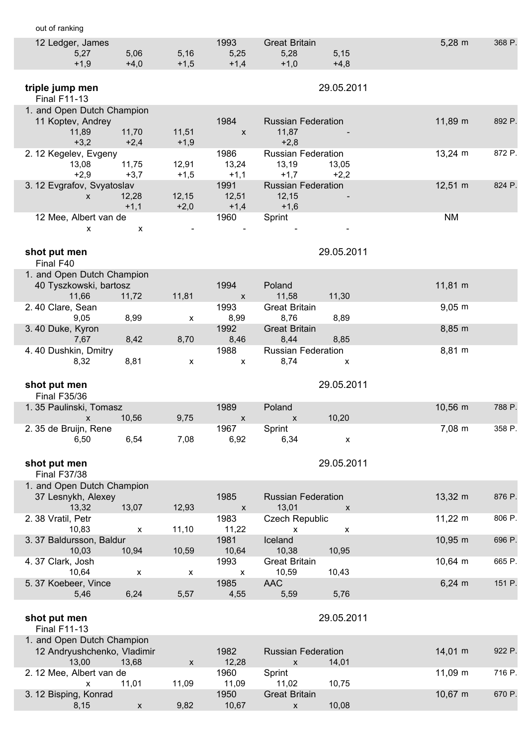| out of ranking                                   |        |        |                           |                                        |                    |        |
|--------------------------------------------------|--------|--------|---------------------------|----------------------------------------|--------------------|--------|
| 12 Ledger, James                                 |        |        | 1993                      | <b>Great Britain</b>                   | $5,28 \; m$        | 368 P. |
| 5,27                                             | 5,06   | 5,16   | 5,25                      | 5,28<br>5,15                           |                    |        |
| $+1,9$                                           | $+4,0$ | $+1,5$ | $+1,4$                    | $+1,0$<br>$+4,8$                       |                    |        |
| triple jump men                                  |        |        |                           | 29.05.2011                             |                    |        |
| <b>Final F11-13</b>                              |        |        |                           |                                        |                    |        |
| 1. and Open Dutch Champion                       |        |        |                           |                                        |                    |        |
| 11 Koptev, Andrey                                |        |        | 1984                      | <b>Russian Federation</b>              | 11,89 m            | 892 P. |
| 11,89                                            | 11,70  | 11,51  | $\boldsymbol{\mathsf{X}}$ | 11,87                                  |                    |        |
| $+3,2$                                           | $+2,4$ | $+1,9$ | 1986                      | $+2,8$<br><b>Russian Federation</b>    |                    | 872 P. |
| 2. 12 Kegelev, Evgeny<br>13,08                   | 11,75  | 12,91  | 13,24                     | 13,19<br>13,05                         | $13,24 \, m$       |        |
| $+2,9$                                           | $+3,7$ | $+1,5$ | $+1,1$                    | $+1,7$<br>$+2,2$                       |                    |        |
| 3. 12 Evgrafov, Svyatoslav                       |        |        | 1991                      | <b>Russian Federation</b>              | $12,51 \; m$       | 824 P. |
| X                                                | 12,28  | 12,15  | 12,51                     | 12,15                                  |                    |        |
| 12 Mee, Albert van de                            | $+1,1$ | $+2,0$ | $+1,4$<br>1960            | $+1,6$<br>Sprint                       | <b>NM</b>          |        |
| $\mathsf{x}$                                     | X      |        |                           |                                        |                    |        |
|                                                  |        |        |                           |                                        |                    |        |
| shot put men                                     |        |        |                           | 29.05.2011                             |                    |        |
| Final F40                                        |        |        |                           |                                        |                    |        |
| 1. and Open Dutch Champion                       |        |        |                           |                                        |                    |        |
| 40 Tyszkowski, bartosz                           |        |        | 1994                      | Poland                                 | 11,81 m            |        |
| 11,66<br>2.40 Clare, Sean                        | 11,72  | 11,81  | $\mathsf{x}$<br>1993      | 11,58<br>11,30<br><b>Great Britain</b> | $9,05 \, \text{m}$ |        |
| 9,05                                             | 8,99   | x      | 8,99                      | 8,76<br>8,89                           |                    |        |
| 3.40 Duke, Kyron                                 |        |        | 1992                      | <b>Great Britain</b>                   | 8,85 m             |        |
| 7,67                                             | 8,42   | 8,70   | 8,46                      | 8,44<br>8,85                           |                    |        |
| 4.40 Dushkin, Dmitry                             |        |        | 1988                      | <b>Russian Federation</b>              | 8,81 m             |        |
| 8,32                                             | 8,81   | X      | $\boldsymbol{\mathsf{x}}$ | 8,74<br>X                              |                    |        |
|                                                  |        |        |                           |                                        |                    |        |
|                                                  |        |        |                           |                                        |                    |        |
| shot put men                                     |        |        |                           | 29.05.2011                             |                    |        |
| <b>Final F35/36</b><br>1.35 Paulinski, Tomasz    |        |        | 1989                      | Poland                                 | $10,56$ m          | 788 P. |
| X                                                | 10,56  | 9,75   | X                         | 10,20<br>X                             |                    |        |
| 2. 35 de Bruijn, Rene                            |        |        | 1967                      | Sprint                                 | 7,08 m             | 358 P. |
| 6,50                                             | 6,54   | 7,08   | 6,92                      | 6,34<br>$\pmb{\mathsf{X}}$             |                    |        |
|                                                  |        |        |                           |                                        |                    |        |
| shot put men                                     |        |        |                           | 29.05.2011                             |                    |        |
| <b>Final F37/38</b>                              |        |        |                           |                                        |                    |        |
| 1. and Open Dutch Champion<br>37 Lesnykh, Alexey |        |        | 1985                      | <b>Russian Federation</b>              | 13,32 m            | 876 P. |
| 13,32                                            | 13,07  | 12,93  | $\pmb{\mathsf{X}}$        | 13,01<br>X                             |                    |        |
| 2.38 Vratil, Petr                                |        |        | 1983                      | <b>Czech Republic</b>                  | $11,22 \; m$       | 806 P. |
| 10,83                                            | X      | 11,10  | 11,22                     | $\boldsymbol{\mathsf{x}}$<br>X         |                    |        |
| 3.37 Baldursson, Baldur<br>10,03                 |        |        | 1981<br>10,64             | Iceland                                | 10,95 m            | 696 P. |
| 4.37 Clark, Josh                                 | 10,94  | 10,59  | 1993                      | 10,38<br>10,95<br><b>Great Britain</b> | 10,64 m            | 665 P. |
| 10,64                                            | x      | х      | X                         | 10,59<br>10,43                         |                    |        |
| 5.37 Koebeer, Vince                              |        |        | 1985                      | <b>AAC</b>                             | $6,24 \, m$        | 151 P. |
| 5,46                                             | 6,24   | 5,57   | 4,55                      | 5,59<br>5,76                           |                    |        |
|                                                  |        |        |                           |                                        |                    |        |
| shot put men<br><b>Final F11-13</b>              |        |        |                           | 29.05.2011                             |                    |        |
| 1. and Open Dutch Champion                       |        |        |                           |                                        |                    |        |
| 12 Andryushchenko, Vladimir                      |        |        | 1982                      | <b>Russian Federation</b>              | 14,01 m            | 922 P. |
| 13,00                                            | 13,68  | X      | 12,28                     | 14,01<br>$\boldsymbol{\mathsf{x}}$     |                    |        |
| 2.12 Mee, Albert van de                          |        |        | 1960                      | Sprint                                 | $11,09 \; m$       | 716 P. |
| X<br>3. 12 Bisping, Konrad                       | 11,01  | 11,09  | 11,09<br>1950             | 10,75<br>11,02<br><b>Great Britain</b> | $10,67$ m          | 670 P. |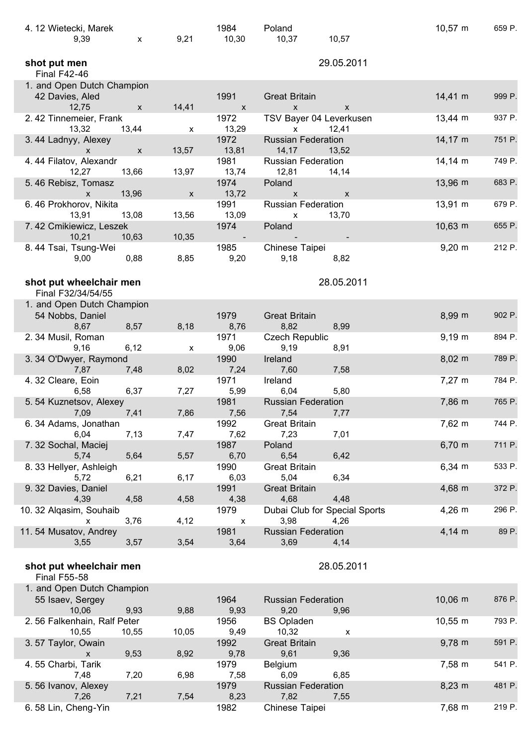| 4.12 Wietecki, Marek<br>9,39         | $\mathsf{x}$ | 9,21         | 1984<br>10,30            | Poland<br>10,37           | 10,57                         | $10,57 \; m$        | 659 P. |
|--------------------------------------|--------------|--------------|--------------------------|---------------------------|-------------------------------|---------------------|--------|
| shot put men<br><b>Final F42-46</b>  |              |              |                          |                           | 29.05.2011                    |                     |        |
| 1. and Open Dutch Champion           |              |              |                          |                           |                               |                     |        |
| 42 Davies, Aled                      |              |              | 1991                     | <b>Great Britain</b>      |                               | $14,41 \; m$        | 999 P. |
| 12,75                                | X            | 14,41        | $\mathsf{x}$             | $\pmb{\chi}$              | X                             |                     |        |
| 2.42 Tinnemeier, Frank               |              |              | 1972                     | TSV Bayer 04 Leverkusen   |                               | $13,44 \, m$        | 937 P. |
| 13,32                                | 13,44        | X            | 13,29                    | X                         | 12,41                         |                     |        |
| 3.44 Ladnyy, Alexey                  |              |              | 1972                     | <b>Russian Federation</b> |                               | $14,17 \; m$        | 751 P. |
| X                                    | X            | 13,57        | 13,81                    | 14, 17                    | 13,52                         |                     |        |
| 4.44 Filatov, Alexandr               |              |              | 1981                     | <b>Russian Federation</b> |                               | $14,14 \, m$        | 749 P. |
| 12,27                                | 13,66        | 13,97        | 13,74                    | 12,81                     | 14,14                         |                     |        |
| 5.46 Rebisz, Tomasz                  |              |              | 1974                     | Poland                    |                               | $13,96 \, \text{m}$ | 683 P. |
| X                                    | 13,96        | $\mathsf{x}$ | 13,72                    | X                         | $\mathsf{x}$                  |                     |        |
| 6.46 Prokhorov, Nikita               |              |              | 1991                     | <b>Russian Federation</b> |                               | 13,91 m             | 679 P. |
| 13,91                                | 13,08        | 13,56        | 13,09                    | $\mathsf{x}$              | 13,70                         |                     |        |
| 7.42 Cmikiewicz, Leszek              |              |              | 1974                     | Poland                    |                               | 10,63 m             | 655 P. |
| 10,21                                | 10,63        | 10,35        | $\overline{\phantom{a}}$ |                           |                               |                     |        |
| 8.44 Tsai, Tsung-Wei                 |              |              | 1985                     | Chinese Taipei            |                               | $9,20 \, \text{m}$  | 212 P. |
| 9,00                                 | 0,88         | 8,85         | 9,20                     | 9,18                      | 8,82                          |                     |        |
|                                      |              |              |                          |                           |                               |                     |        |
| shot put wheelchair men              |              |              |                          |                           | 28.05.2011                    |                     |        |
| Final F32/34/54/55                   |              |              |                          |                           |                               |                     |        |
| 1. and Open Dutch Champion           |              |              |                          |                           |                               |                     |        |
| 54 Nobbs, Daniel                     |              |              | 1979                     | <b>Great Britain</b>      |                               | 8,99 m              | 902 P. |
| 8,67                                 | 8,57         | 8,18         | 8,76                     | 8,82                      | 8,99                          |                     |        |
| 2.34 Musil, Roman                    |              |              | 1971                     | Czech Republic            |                               | $9,19 \, \text{m}$  | 894 P. |
| 9,16                                 | 6,12         | X            | 9,06                     | 9,19                      | 8,91                          |                     |        |
| 3.34 O'Dwyer, Raymond                |              |              | 1990                     | Ireland                   |                               | $8,02 \, m$         | 789 P. |
| 7,87<br>4.32 Cleare, Eoin            | 7,48         | 8,02         | 7,24<br>1971             | 7,60<br>Ireland           | 7,58                          | $7,27 \; m$         | 784 P. |
| 6,58                                 | 6,37         | 7,27         | 5,99                     | 6,04                      | 5,80                          |                     |        |
| 5.54 Kuznetsov, Alexey               |              |              | 1981                     | <b>Russian Federation</b> |                               | 7,86 m              | 765 P. |
| 7,09                                 | 7,41         | 7,86         | 7,56                     | 7,54                      | 7,77                          |                     |        |
| 6.34 Adams, Jonathan                 |              |              | 1992                     | <b>Great Britain</b>      |                               | 7,62 m              | 744 P. |
| 6,04                                 | 7,13         | 7,47         | 7,62                     | 7,23                      | 7,01                          |                     |        |
| 7.32 Sochal, Maciej                  |              |              | 1987                     | Poland                    |                               | $6,70 \; m$         | 711 P. |
| 5,74                                 | 5,64         | 5,57         | 6,70                     | 6,54                      | 6,42                          |                     |        |
| 8. 33 Hellyer, Ashleigh              |              |              | 1990                     | <b>Great Britain</b>      |                               | $6,34 \, m$         | 533 P. |
| 5,72                                 | 6,21         | 6,17         | 6,03                     | 5,04                      | 6,34                          |                     |        |
| 9. 32 Davies, Daniel                 |              |              | 1991                     | <b>Great Britain</b>      |                               | 4,68 m              | 372 P. |
| 4,39                                 | 4,58         | 4,58         | 4,38                     | 4,68                      | 4,48                          |                     |        |
| 10. 32 Alqasim, Souhaib              |              |              | 1979                     |                           | Dubai Club for Special Sports | $4,26 \, m$         | 296 P. |
| x                                    | 3,76         | 4,12         | $\pmb{\mathsf{X}}$       | 3,98                      | 4,26                          |                     |        |
| 11.54 Musatov, Andrey                |              |              | 1981                     | <b>Russian Federation</b> |                               | $4,14 \, m$         | 89 P.  |
| 3,55                                 | 3,57         | 3,54         | 3,64                     | 3,69                      | 4,14                          |                     |        |
|                                      |              |              |                          |                           |                               |                     |        |
| shot put wheelchair men              |              |              |                          |                           | 28.05.2011                    |                     |        |
| <b>Final F55-58</b>                  |              |              |                          |                           |                               |                     |        |
| 1. and Open Dutch Champion           |              |              |                          |                           |                               |                     |        |
| 55 Isaev, Sergey                     |              |              | 1964                     | <b>Russian Federation</b> |                               | $10,06$ m           | 876 P. |
| 10,06<br>2.56 Falkenhain, Ralf Peter | 9,93         | 9,88         | 9,93<br>1956             | 9,20<br><b>BS Opladen</b> | 9,96                          | $10,55 \; m$        | 793 P. |
| 10,55                                | 10,55        | 10,05        | 9,49                     | 10,32                     | X                             |                     |        |
| 3.57 Taylor, Owain                   |              |              | 1992                     | <b>Great Britain</b>      |                               | $9,78 \; m$         | 591 P. |
| X                                    | 9,53         | 8,92         | 9,78                     | 9,61                      | 9,36                          |                     |        |
| 4.55 Charbi, Tarik                   |              |              | 1979                     | <b>Belgium</b>            |                               | 7,58 m              | 541 P. |
| 7,48                                 | 7,20         | 6,98         | 7,58                     | 6,09                      | 6,85                          |                     |        |
| 5.56 Ivanov, Alexey                  |              |              | 1979                     | <b>Russian Federation</b> |                               | $8,23 \; m$         | 481 P. |
| 7,26                                 | 7,21         | 7,54         | 8,23                     | 7,82                      | 7,55                          |                     |        |
| 6.58 Lin, Cheng-Yin                  |              |              | 1982                     | Chinese Taipei            |                               | 7,68 m              | 219 P. |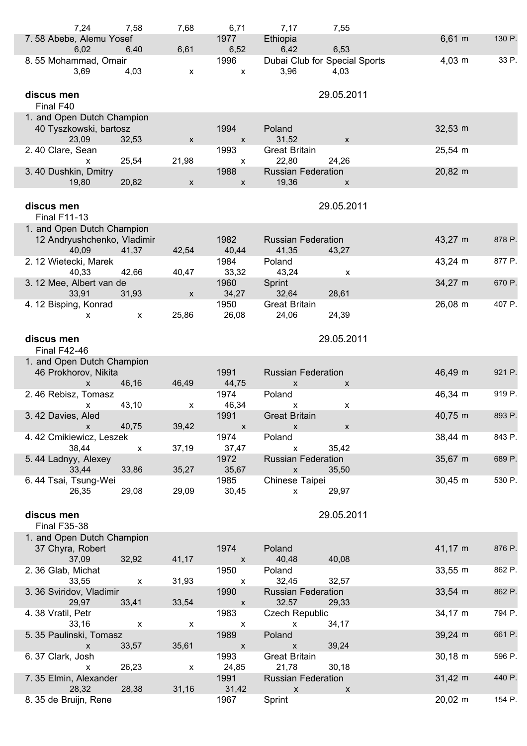| 7,24                                           | 7,58                      | 7,68                      | 6,71                              | 7,17                                 | 7,55                                  |                     |        |
|------------------------------------------------|---------------------------|---------------------------|-----------------------------------|--------------------------------------|---------------------------------------|---------------------|--------|
| 7.58 Abebe, Alemu Yosef<br>6,02                | 6,40                      | 6,61                      | 1977<br>6,52                      | Ethiopia<br>6,42                     | 6,53                                  | $6,61 \; m$         | 130 P. |
| 8.55 Mohammad, Omair<br>3,69                   | 4,03                      | X                         | 1996<br>$\mathsf{x}$              | 3,96                                 | Dubai Club for Special Sports<br>4,03 | $4,03 \, m$         | 33 P.  |
| discus men<br>Final F40                        |                           |                           |                                   |                                      | 29.05.2011                            |                     |        |
| 1. and Open Dutch Champion                     |                           |                           |                                   |                                      |                                       |                     |        |
| 40 Tyszkowski, bartosz<br>23,09                | 32,53                     | X                         | 1994<br>$\mathsf{x}$              | Poland<br>31,52                      | X                                     | $32,53 \, \text{m}$ |        |
| 2.40 Clare, Sean<br>X                          | 25,54                     | 21,98                     | 1993<br>$\boldsymbol{\mathsf{x}}$ | <b>Great Britain</b><br>22,80        | 24,26                                 | 25,54 m             |        |
| 3.40 Dushkin, Dmitry<br>19,80                  | 20,82                     | $\pmb{\mathsf{X}}$        | 1988<br>$\pmb{\mathsf{X}}$        | <b>Russian Federation</b><br>19,36   | $\pmb{\mathsf{X}}$                    | 20,82 m             |        |
|                                                |                           |                           |                                   |                                      |                                       |                     |        |
| discus men<br><b>Final F11-13</b>              |                           |                           |                                   |                                      | 29.05.2011                            |                     |        |
| 1. and Open Dutch Champion                     |                           |                           |                                   |                                      |                                       |                     |        |
| 12 Andryushchenko, Vladimir<br>40,09           | 41,37                     | 42,54                     | 1982<br>40,44                     | <b>Russian Federation</b><br>41,35   | 43,27                                 | 43,27 m             | 878 P. |
| 2. 12 Wietecki, Marek<br>40,33                 | 42,66                     | 40,47                     | 1984<br>33,32                     | Poland<br>43,24                      | X                                     | 43,24 m             | 877 P. |
| 3.12 Mee, Albert van de<br>33,91               | 31,93                     | $\pmb{\mathsf{X}}$        | 1960<br>34,27                     | Sprint<br>32,64                      | 28,61                                 | 34,27 m             | 670 P. |
| 4. 12 Bisping, Konrad<br>x                     | X                         | 25,86                     | 1950<br>26,08                     | <b>Great Britain</b><br>24,06        | 24,39                                 | 26,08 m             | 407 P. |
|                                                |                           |                           |                                   |                                      |                                       |                     |        |
| discus men<br><b>Final F42-46</b>              |                           |                           |                                   |                                      | 29.05.2011                            |                     |        |
| 1. and Open Dutch Champion                     |                           |                           |                                   |                                      |                                       |                     |        |
| 46 Prokhorov, Nikita                           |                           |                           | 1991                              | <b>Russian Federation</b>            |                                       | 46,49 m             | 921 P. |
| X                                              | 46,16                     | 46,49                     | 44,75                             | X                                    | X                                     |                     |        |
| 2.46 Rebisz, Tomasz                            | 43,10                     | X                         | 1974<br>46,34                     | Poland                               |                                       | 46,34 m             | 919 P. |
| x<br>3.42 Davies, Aled                         |                           |                           | 1991                              | x<br><b>Great Britain</b>            | x                                     | 40,75 m             | 893 P. |
| $\mathsf{X}$                                   | 40,75                     | 39,42                     | $\boldsymbol{\mathsf{x}}$         | $\mathsf X$                          | $\boldsymbol{\mathsf{X}}$             |                     |        |
| 4.42 Cmikiewicz, Leszek                        |                           |                           | 1974                              | Poland                               |                                       | 38,44 m             | 843 P. |
| 38,44                                          | $\pmb{\mathsf{X}}$        | 37,19                     | 37,47                             | $\pmb{\mathsf{x}}$                   | 35,42                                 |                     |        |
| 5.44 Ladnyy, Alexey                            |                           |                           | 1972                              | <b>Russian Federation</b>            |                                       | $35,67 \; m$        | 689 P. |
| 33,44                                          | 33,86                     | 35,27                     | 35,67                             | $\mathsf X$                          | 35,50                                 |                     |        |
| 6.44 Tsai, Tsung-Wei<br>26,35                  | 29,08                     | 29,09                     | 1985<br>30,45                     | Chinese Taipei<br>$\pmb{\mathsf{X}}$ | 29,97                                 | $30,45 \; m$        | 530 P. |
| discus men                                     |                           |                           |                                   |                                      | 29.05.2011                            |                     |        |
| <b>Final F35-38</b>                            |                           |                           |                                   |                                      |                                       |                     |        |
| 1. and Open Dutch Champion<br>37 Chyra, Robert |                           |                           | 1974                              | Poland                               |                                       | $41,17 \; m$        | 876 P. |
| 37,09                                          | 32,92                     | 41,17                     | $\pmb{\mathsf{X}}$                | 40,48                                | 40,08                                 |                     |        |
| 2.36 Glab, Michat                              |                           |                           | 1950                              | Poland                               |                                       | 33,55 m             | 862 P. |
| 33,55                                          | $\boldsymbol{\mathsf{x}}$ | 31,93                     | $\pmb{\mathsf{X}}$                | 32,45                                | 32,57                                 |                     |        |
| 3.36 Sviridov, Vladimir<br>29,97               | 33,41                     | 33,54                     | 1990<br>$\boldsymbol{\mathsf{X}}$ | <b>Russian Federation</b><br>32,57   | 29,33                                 | $33,54 \, m$        | 862 P. |
| 4.38 Vratil, Petr                              |                           |                           | 1983                              | <b>Czech Republic</b>                |                                       | $34,17 \; m$        | 794 P. |
| 33,16                                          | $\boldsymbol{\mathsf{x}}$ | $\boldsymbol{\mathsf{x}}$ | $\boldsymbol{\mathsf{X}}$         | $\mathsf{x}$                         | 34,17                                 |                     |        |
| 5. 35 Paulinski, Tomasz                        |                           |                           | 1989                              | Poland                               |                                       | $39,24 \, m$        | 661 P. |
| $\mathsf{x}$<br>6.37 Clark, Josh               | 33,57                     | 35,61                     | $\mathbf{x}$<br>1993              | $\pmb{\chi}$<br><b>Great Britain</b> | 39,24                                 | $30,18 \; m$        | 596 P. |
| X                                              | 26,23                     | $\boldsymbol{\mathsf{x}}$ | 24,85                             | 21,78                                | 30,18                                 |                     |        |
| 7.35 Elmin, Alexander                          |                           |                           | 1991                              | <b>Russian Federation</b>            |                                       | $31,42 \; m$        | 440 P. |
| 28,32                                          | 28,38                     | 31,16                     | 31,42                             | $\boldsymbol{\mathsf{X}}$            | $\boldsymbol{\mathsf{x}}$             |                     |        |
| 8. 35 de Bruijn, Rene                          |                           |                           | 1967                              | Sprint                               |                                       | 20,02 m             | 154 P. |

 $\overline{\phantom{a}}$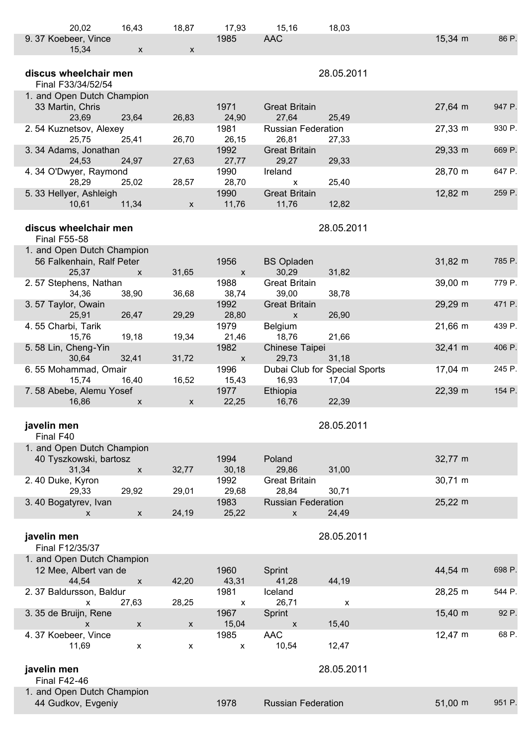| 20,02                                                        | 16,43                       | 18,87                     | 17,93                      | 15,16                                              | 18,03                                  |                     |        |
|--------------------------------------------------------------|-----------------------------|---------------------------|----------------------------|----------------------------------------------------|----------------------------------------|---------------------|--------|
| 9.37 Koebeer, Vince                                          |                             |                           | 1985                       | <b>AAC</b>                                         |                                        | $15,34 \, \text{m}$ | 86 P.  |
| 15,34                                                        | $\pmb{\mathsf{X}}$          | $\mathsf{x}$              |                            |                                                    |                                        |                     |        |
| discus wheelchair men<br>Final F33/34/52/54                  |                             |                           |                            |                                                    | 28.05.2011                             |                     |        |
| 1. and Open Dutch Champion<br>33 Martin, Chris<br>23,69      | 23,64                       | 26,83                     | 1971<br>24,90              | <b>Great Britain</b><br>27,64                      | 25,49                                  | 27,64 m             | 947 P. |
| 2.54 Kuznetsov, Alexey<br>25,75                              | 25,41                       | 26,70                     | 1981<br>26,15              | <b>Russian Federation</b><br>26,81                 | 27,33                                  | 27,33 m             | 930 P. |
| 3.34 Adams, Jonathan<br>24,53                                | 24,97                       | 27,63                     | 1992<br>27,77              | <b>Great Britain</b><br>29,27                      | 29,33                                  | 29,33 m             | 669 P. |
| 4.34 O'Dwyer, Raymond<br>28,29                               | 25,02                       | 28,57                     | 1990<br>28,70              | Ireland<br>$\pmb{\mathsf{X}}$                      | 25,40                                  | 28,70 m             | 647 P. |
| 5. 33 Hellyer, Ashleigh<br>10,61                             | 11,34                       | $\mathsf{x}$              | 1990<br>11,76              | <b>Great Britain</b><br>11,76                      | 12,82                                  | 12,82 m             | 259 P. |
| discus wheelchair men<br><b>Final F55-58</b>                 |                             |                           |                            |                                                    | 28.05.2011                             |                     |        |
| 1. and Open Dutch Champion                                   |                             |                           |                            |                                                    |                                        |                     |        |
| 56 Falkenhain, Ralf Peter<br>25,37                           | X                           | 31,65                     | 1956<br>$\pmb{\mathsf{X}}$ | <b>BS Opladen</b><br>30,29                         | 31,82                                  | 31,82 m             | 785 P. |
| 2.57 Stephens, Nathan<br>34,36                               | 38,90                       | 36,68                     | 1988<br>38,74              | <b>Great Britain</b><br>39,00                      | 38,78                                  | 39,00 m             | 779 P. |
| 3.57 Taylor, Owain<br>25,91                                  | 26,47                       | 29,29                     | 1992<br>28,80              | <b>Great Britain</b><br>$\pmb{\mathsf{X}}$         | 26,90                                  | 29,29 m             | 471 P. |
| 4.55 Charbi, Tarik<br>15,76                                  | 19,18                       | 19,34                     | 1979<br>21,46              | Belgium<br>18,76                                   | 21,66                                  | $21,66 \, m$        | 439 P. |
| 5.58 Lin, Cheng-Yin<br>30,64                                 | 32,41                       | 31,72                     | 1982<br>$\mathsf X$        | Chinese Taipei<br>29,73                            | 31,18                                  | $32,41 \; m$        | 406 P. |
| 6.55 Mohammad, Omair<br>15,74                                | 16,40                       | 16,52                     | 1996<br>15,43              | 16,93                                              | Dubai Club for Special Sports<br>17,04 | $17,04 \, m$        | 245 P. |
| 7.58 Abebe, Alemu Yosef<br>16,86                             | X                           | $\boldsymbol{\mathsf{x}}$ | 1977<br>22,25              | Ethiopia<br>16,76                                  | 22,39                                  | 22,39 m             | 154 P. |
| javelin men<br>Final F40                                     |                             |                           |                            |                                                    | 28.05.2011                             |                     |        |
| 1. and Open Dutch Champion<br>40 Tyszkowski, bartosz         |                             |                           | 1994                       | Poland                                             |                                        | 32,77 m             |        |
| 31,34<br>2.40 Duke, Kyron                                    | $\pmb{\mathsf{X}}$          | 32,77                     | 30,18<br>1992              | 29,86<br><b>Great Britain</b>                      | 31,00                                  | 30,71 m             |        |
| 29,33<br>3.40 Bogatyrev, Ivan<br>X                           | 29,92<br>$\pmb{\mathsf{X}}$ | 29,01<br>24,19            | 29,68<br>1983<br>25,22     | 28,84<br><b>Russian Federation</b><br>$\pmb{\chi}$ | 30,71<br>24,49                         | $25,22 \, m$        |        |
|                                                              |                             |                           |                            |                                                    |                                        |                     |        |
| javelin men<br>Final F12/35/37<br>1. and Open Dutch Champion |                             |                           |                            |                                                    | 28.05.2011                             |                     |        |
| 12 Mee, Albert van de<br>44,54                               | $\pmb{\mathsf{X}}$          | 42,20                     | 1960<br>43,31              | Sprint<br>41,28                                    | 44,19                                  | 44,54 m             | 698 P. |
| 2.37 Baldursson, Baldur<br>$\pmb{\mathsf{X}}$                | 27,63                       | 28,25                     | 1981<br>$\pmb{\mathsf{X}}$ | Iceland<br>26,71                                   | X                                      | 28,25 m             | 544 P. |
| 3. 35 de Bruijn, Rene<br>X                                   | $\mathsf{X}$                | $\pmb{\mathsf{X}}$        | 1967<br>15,04              | Sprint<br>$\pmb{\mathsf{X}}$                       | 15,40                                  | $15,40 \; m$        | 92 P.  |
| 4.37 Koebeer, Vince<br>11,69                                 | X                           | X                         | 1985<br>$\pmb{\mathsf{X}}$ | <b>AAC</b><br>10,54                                | 12,47                                  | 12,47 m             | 68 P.  |
| javelin men                                                  |                             |                           |                            |                                                    | 28.05.2011                             |                     |        |
| <b>Final F42-46</b>                                          |                             |                           |                            |                                                    |                                        |                     |        |
| 1. and Open Dutch Champion<br>44 Gudkov, Evgeniy             |                             |                           | 1978                       | <b>Russian Federation</b>                          |                                        | $51,00 \; m$        | 951 P. |
|                                                              |                             |                           |                            |                                                    |                                        |                     |        |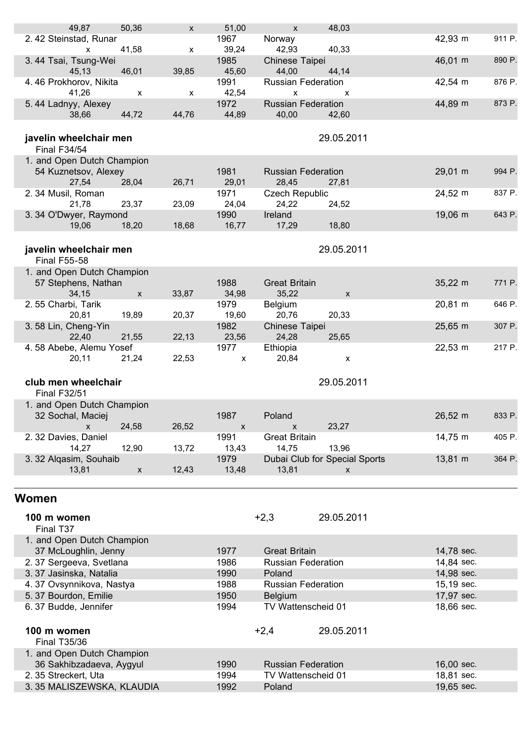| 49,87                                            | 50,36        | X     | 51,00        | $\mathsf{x}$                 | 48,03                         |                          |        |
|--------------------------------------------------|--------------|-------|--------------|------------------------------|-------------------------------|--------------------------|--------|
| 2.42 Steinstad, Runar                            |              |       | 1967         | Norway                       |                               | 42,93 m                  | 911 P. |
| X                                                | 41,58        | X     | 39,24        | 42,93                        | 40,33                         |                          |        |
| 3.44 Tsai, Tsung-Wei                             |              |       | 1985         | Chinese Taipei               |                               | 46,01 m                  | 890 P. |
| 45,13                                            | 46,01        | 39,85 | 45,60        | 44,00                        | 44,14                         |                          |        |
| 4.46 Prokhorov, Nikita                           |              |       | 1991         | <b>Russian Federation</b>    |                               | 42,54 m                  | 876 P. |
| 41,26                                            | x            | x     | 42,54        | X                            | X                             |                          |        |
| 5.44 Ladnyy, Alexey                              |              |       | 1972         | <b>Russian Federation</b>    |                               | 44,89 m                  | 873 P. |
| 38,66                                            | 44,72        | 44,76 | 44,89        | 40,00                        | 42,60                         |                          |        |
|                                                  |              |       |              |                              |                               |                          |        |
|                                                  |              |       |              |                              |                               |                          |        |
| javelin wheelchair men                           |              |       |              |                              | 29.05.2011                    |                          |        |
| <b>Final F34/54</b>                              |              |       |              |                              |                               |                          |        |
| 1. and Open Dutch Champion                       |              |       |              |                              |                               |                          |        |
| 54 Kuznetsov, Alexey                             |              |       | 1981         | <b>Russian Federation</b>    |                               | 29,01 m                  | 994 P. |
| 27,54                                            | 28,04        | 26,71 | 29,01        | 28,45                        | 27,81                         |                          |        |
| 2.34 Musil, Roman                                |              |       | 1971         | <b>Czech Republic</b>        |                               | 24,52 m                  | 837 P. |
| 21,78                                            | 23,37        | 23,09 | 24,04        | 24,22                        | 24,52                         |                          |        |
| 3.34 O'Dwyer, Raymond                            |              |       | 1990         | Ireland                      |                               | 19,06 m                  | 643 P. |
| 19,06                                            | 18,20        | 18,68 | 16,77        | 17,29                        | 18,80                         |                          |        |
|                                                  |              |       |              |                              |                               |                          |        |
| javelin wheelchair men                           |              |       |              |                              | 29.05.2011                    |                          |        |
| <b>Final F55-58</b>                              |              |       |              |                              |                               |                          |        |
| 1. and Open Dutch Champion                       |              |       |              |                              |                               |                          |        |
| 57 Stephens, Nathan                              |              |       | 1988         | <b>Great Britain</b>         |                               | $35,22 \, m$             | 771 P. |
| 34,15                                            | $\mathsf{x}$ | 33,87 | 34,98        | 35,22                        | X                             |                          |        |
| 2.55 Charbi, Tarik                               |              |       | 1979         | Belgium                      |                               | 20,81 m                  | 646 P. |
| 20,81                                            | 19,89        | 20,37 | 19,60        | 20,76                        | 20,33                         |                          |        |
| 3.58 Lin, Cheng-Yin                              |              |       | 1982         | Chinese Taipei               |                               | $25,65 \, \text{m}$      | 307 P. |
| 22,40                                            | 21,55        | 22,13 | 23,56        | 24,28                        | 25,65                         |                          |        |
| 4.58 Abebe, Alemu Yosef                          |              |       | 1977         |                              |                               | $22,53 \, \text{m}$      | 217 P. |
|                                                  |              |       |              | Ethiopia                     |                               |                          |        |
| 20,11                                            | 21,24        | 22,53 | X            | 20,84                        | X                             |                          |        |
|                                                  |              |       |              |                              |                               |                          |        |
| club men wheelchair                              |              |       |              |                              | 29.05.2011                    |                          |        |
| <b>Final F32/51</b>                              |              |       |              |                              |                               |                          |        |
| 1. and Open Dutch Champion                       |              |       |              |                              |                               |                          |        |
| 32 Sochal, Maciej                                |              |       | 1987         | Poland                       |                               | $26,52 \, m$             | 833 P. |
| $\pmb{\mathsf{X}}$                               | 24,58        | 26,52 | X            | $\mathsf{X}$                 | 23,27                         |                          |        |
| 2. 32 Davies, Daniel                             |              |       | 1991         | <b>Great Britain</b>         |                               | 14,75 m                  | 405 P. |
| 14,27                                            | 12,90        | 13,72 | 13,43        | 14,75                        | 13,96                         |                          |        |
| 3. 32 Alqasim, Souhaib                           |              |       | 1979         |                              | Dubai Club for Special Sports | 13,81 m                  | 364 P. |
| 13,81                                            | $\mathsf{x}$ | 12,43 | 13,48        | 13,81                        | X                             |                          |        |
|                                                  |              |       |              |                              |                               |                          |        |
|                                                  |              |       |              |                              |                               |                          |        |
| Women                                            |              |       |              |                              |                               |                          |        |
|                                                  |              |       |              |                              |                               |                          |        |
| 100 m women                                      |              |       |              | $+2,3$                       | 29.05.2011                    |                          |        |
| Final T37                                        |              |       |              |                              |                               |                          |        |
| 1. and Open Dutch Champion                       |              |       |              |                              |                               |                          |        |
| 37 McLoughlin, Jenny                             |              |       | 1977         | <b>Great Britain</b>         |                               | 14,78 sec.               |        |
| 2.37 Sergeeva, Svetlana                          |              |       | 1986         | <b>Russian Federation</b>    |                               | 14,84 sec.               |        |
| 3.37 Jasinska, Natalia                           |              |       | 1990         | Poland                       |                               | 14,98 sec.               |        |
| 4.37 Ovsynnikova, Nastya                         |              |       | 1988         | <b>Russian Federation</b>    |                               | 15,19 sec.               |        |
| 5.37 Bourdon, Emilie                             |              |       | 1950         | Belgium                      |                               | 17,97 sec.               |        |
| 6.37 Budde, Jennifer                             |              |       | 1994         | TV Wattenscheid 01           |                               | 18,66 sec.               |        |
|                                                  |              |       |              |                              |                               |                          |        |
| 100 m women                                      |              |       |              |                              |                               |                          |        |
|                                                  |              |       |              | $+2,4$                       | 29.05.2011                    |                          |        |
| <b>Final T35/36</b>                              |              |       |              |                              |                               |                          |        |
| 1. and Open Dutch Champion                       |              |       |              |                              |                               |                          |        |
|                                                  |              |       |              |                              |                               |                          |        |
| 36 Sakhibzadaeva, Aygyul                         |              |       | 1990         | <b>Russian Federation</b>    |                               | 16,00 sec.               |        |
| 2.35 Streckert, Uta<br>3.35 MALISZEWSKA, KLAUDIA |              |       | 1994<br>1992 | TV Wattenscheid 01<br>Poland |                               | 18,81 sec.<br>19,65 sec. |        |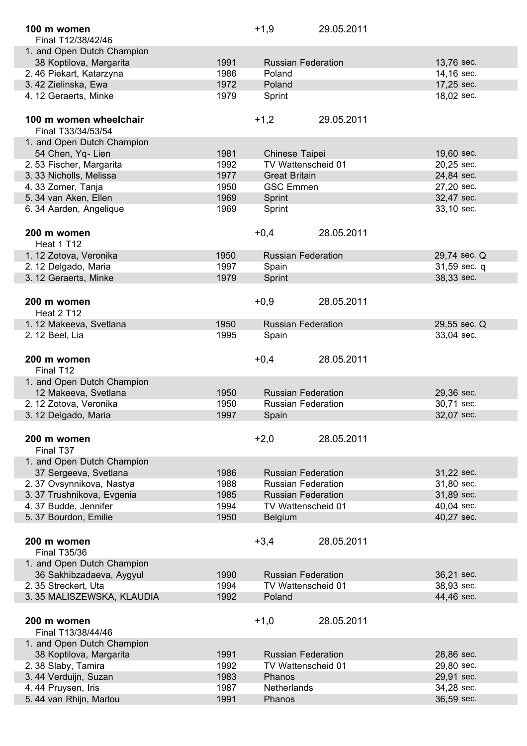| 100 m women                |              | $+1,9$               | 29.05.2011                |                          |
|----------------------------|--------------|----------------------|---------------------------|--------------------------|
| Final T12/38/42/46         |              |                      |                           |                          |
| 1. and Open Dutch Champion |              |                      |                           |                          |
| 38 Koptilova, Margarita    | 1991         |                      | <b>Russian Federation</b> | 13,76 sec.               |
| 2.46 Piekart, Katarzyna    | 1986         | Poland               |                           | 14,16 sec.               |
| 3.42 Zielinska, Ewa        | 1972         | Poland               |                           | 17,25 sec.               |
| 4.12 Geraerts, Minke       | 1979         | Sprint               |                           | 18,02 sec.               |
| 100 m women wheelchair     |              | $+1,2$               | 29.05.2011                |                          |
| Final T33/34/53/54         |              |                      |                           |                          |
| 1. and Open Dutch Champion |              |                      |                           |                          |
| 54 Chen, Yq- Lien          | 1981         | Chinese Taipei       |                           | 19,60 sec.               |
| 2.53 Fischer, Margarita    | 1992         |                      | TV Wattenscheid 01        | 20,25 sec.               |
| 3.33 Nicholls, Melissa     | 1977         | <b>Great Britain</b> |                           | 24,84 sec.               |
| 4.33 Zomer, Tanja          | 1950         | <b>GSC Emmen</b>     |                           | 27,20 sec.               |
| 5.34 van Aken, Ellen       | 1969         | Sprint               |                           | 32,47 sec.               |
| 6.34 Aarden, Angelique     | 1969         | Sprint               |                           | 33,10 sec.               |
| 200 m women                |              | $+0,4$               | 28.05.2011                |                          |
| Heat 1 T12                 |              |                      |                           |                          |
| 1. 12 Zotova, Veronika     | 1950         |                      | <b>Russian Federation</b> | 29,74 sec. Q             |
| 2.12 Delgado, Maria        | 1997         | Spain                |                           | 31,59 sec. q             |
| 3. 12 Geraerts, Minke      | 1979         | Sprint               |                           | 38,33 sec.               |
|                            |              |                      |                           |                          |
| 200 m women                |              | $+0,9$               | 28.05.2011                |                          |
| Heat 2 T12                 |              |                      |                           |                          |
| 1.12 Makeeva, Svetlana     | 1950         |                      | <b>Russian Federation</b> | 29,55 sec. Q             |
| 2. 12 Beel, Lia            | 1995         | Spain                |                           | 33,04 sec.               |
|                            |              |                      |                           |                          |
| 200 m women                |              | $+0,4$               | 28.05.2011                |                          |
| Final T12                  |              |                      |                           |                          |
| 1. and Open Dutch Champion |              |                      |                           |                          |
| 12 Makeeva, Svetlana       | 1950         |                      | <b>Russian Federation</b> | 29,36 sec.               |
| 2. 12 Zotova, Veronika     | 1950         |                      | <b>Russian Federation</b> | 30,71 sec.               |
| 3.12 Delgado, Maria        | 1997         | Spain                |                           | 32,07 sec.               |
|                            |              |                      |                           |                          |
| 200 m women                |              | $+2,0$               | 28.05.2011                |                          |
| Final T37                  |              |                      |                           |                          |
| 1. and Open Dutch Champion |              |                      |                           |                          |
| 37 Sergeeva, Svetlana      | 1986         |                      | <b>Russian Federation</b> | 31,22 sec.               |
| 2.37 Ovsynnikova, Nastya   | 1988         |                      | <b>Russian Federation</b> | 31,80 sec.               |
| 3.37 Trushnikova, Evgenia  | 1985         |                      | <b>Russian Federation</b> | 31,89 sec.               |
| 4.37 Budde, Jennifer       | 1994         |                      | TV Wattenscheid 01        | 40,04 sec.               |
| 5.37 Bourdon, Emilie       | 1950         | Belgium              |                           | 40,27 sec.               |
|                            |              |                      |                           |                          |
| 200 m women                |              | $+3,4$               | 28.05.2011                |                          |
| <b>Final T35/36</b>        |              |                      |                           |                          |
| 1. and Open Dutch Champion |              |                      |                           |                          |
| 36 Sakhibzadaeva, Aygyul   | 1990         |                      | <b>Russian Federation</b> | 36,21 sec.               |
| 2.35 Streckert, Uta        | 1994         |                      | TV Wattenscheid 01        | 38,93 sec.               |
| 3.35 MALISZEWSKA, KLAUDIA  | 1992         | Poland               |                           | 44,46 sec.               |
|                            |              |                      |                           |                          |
| 200 m women                |              | $+1,0$               | 28.05.2011                |                          |
| Final T13/38/44/46         |              |                      |                           |                          |
| 1. and Open Dutch Champion |              |                      |                           |                          |
| 38 Koptilova, Margarita    | 1991         |                      | <b>Russian Federation</b> | 28,86 sec.               |
| 2.38 Slaby, Tamira         | 1992         |                      | TV Wattenscheid 01        | 29,80 sec.               |
| 3.44 Verduijn, Suzan       | 1983         | Phanos               |                           | 29,91 sec.               |
| 4.44 Pruysen, Iris         |              |                      |                           |                          |
| 5.44 van Rhijn, Marlou     | 1987<br>1991 | <b>Netherlands</b>   |                           | 34,28 sec.<br>36,59 sec. |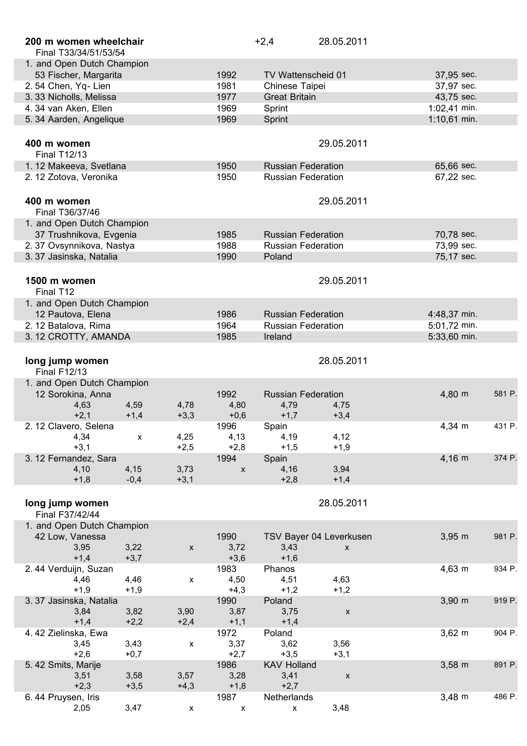| 200 m women wheelchair<br>Final T33/34/51/53/54    |                |                    |                | $+2,4$                              | 28.05.2011                |                              |        |
|----------------------------------------------------|----------------|--------------------|----------------|-------------------------------------|---------------------------|------------------------------|--------|
| 1. and Open Dutch Champion                         |                |                    |                |                                     |                           |                              |        |
| 53 Fischer, Margarita                              |                |                    | 1992           | TV Wattenscheid 01                  |                           | 37,95 sec.                   |        |
| 2.54 Chen, Yq-Lien                                 |                |                    | 1981           | Chinese Taipei                      |                           | 37,97 sec.                   |        |
| 3.33 Nicholls, Melissa                             |                |                    | 1977           | <b>Great Britain</b>                |                           | 43,75 sec.                   |        |
| 4.34 van Aken, Ellen<br>5. 34 Aarden, Angelique    |                |                    | 1969<br>1969   | Sprint<br>Sprint                    |                           | 1:02,41 min.<br>1:10,61 min. |        |
|                                                    |                |                    |                |                                     |                           |                              |        |
| 400 m women<br><b>Final T12/13</b>                 |                |                    |                |                                     | 29.05.2011                |                              |        |
| 1.12 Makeeva, Svetlana                             |                |                    | 1950           | <b>Russian Federation</b>           |                           | 65,66 sec.                   |        |
| 2. 12 Zotova, Veronika                             |                |                    | 1950           | <b>Russian Federation</b>           |                           | 67,22 sec.                   |        |
| 400 m women                                        |                |                    |                |                                     | 29.05.2011                |                              |        |
| Final T36/37/46                                    |                |                    |                |                                     |                           |                              |        |
| 1. and Open Dutch Champion                         |                |                    |                |                                     |                           |                              |        |
| 37 Trushnikova, Evgenia                            |                |                    | 1985           | <b>Russian Federation</b>           |                           | 70,78 sec.                   |        |
| 2.37 Ovsynnikova, Nastya<br>3.37 Jasinska, Natalia |                |                    | 1988<br>1990   | <b>Russian Federation</b><br>Poland |                           | 73,99 sec.<br>75,17 sec.     |        |
|                                                    |                |                    |                |                                     |                           |                              |        |
| 1500 m women<br>Final T12                          |                |                    |                |                                     | 29.05.2011                |                              |        |
| 1. and Open Dutch Champion                         |                |                    |                |                                     |                           |                              |        |
| 12 Pautova, Elena                                  |                |                    | 1986           | <b>Russian Federation</b>           |                           | 4:48,37 min.                 |        |
| 2.12 Batalova, Rima                                |                |                    | 1964           | <b>Russian Federation</b>           |                           | 5:01,72 min.                 |        |
| 3. 12 CROTTY, AMANDA                               |                |                    | 1985           | Ireland                             |                           | 5:33,60 min.                 |        |
| long jump women<br><b>Final F12/13</b>             |                |                    |                |                                     | 28.05.2011                |                              |        |
| 1. and Open Dutch Champion                         |                |                    |                |                                     |                           |                              |        |
| 12 Sorokina, Anna                                  |                | 4,78               | 1992           | <b>Russian Federation</b>           |                           | 4,80 m                       | 581 P. |
| 4,63<br>$+2,1$                                     | 4,59<br>$+1,4$ | $+3,3$             | 4,80<br>$+0,6$ | 4,79<br>$+1,7$                      | 4,75<br>$+3,4$            |                              |        |
| 2. 12 Clavero, Selena                              |                |                    | 1996           | Spain                               |                           | 4,34 m                       | 431 P. |
| 4,34                                               | X              | 4,25               | 4,13           | 4,19                                | 4,12                      |                              |        |
| $+3,1$                                             |                | $+2,5$             | $+2,8$         | $+1,5$                              | $+1,9$                    |                              |        |
| 3. 12 Fernandez, Sara                              |                |                    | 1994           | Spain                               |                           | $4,16 \; m$                  | 374 P. |
| 4,10                                               | 4,15           | 3,73               | $\mathsf X$    | 4,16                                | 3,94                      |                              |        |
| $+1,8$                                             | $-0,4$         | $+3,1$             |                | $+2,8$                              | $+1,4$                    |                              |        |
| long jump women<br>Final F37/42/44                 |                |                    |                |                                     | 28.05.2011                |                              |        |
| 1. and Open Dutch Champion                         |                |                    |                |                                     |                           |                              |        |
| 42 Low, Vanessa                                    |                |                    | 1990           |                                     | TSV Bayer 04 Leverkusen   | $3,95 \; m$                  | 981 P. |
| 3,95                                               | 3,22           | $\pmb{\mathsf{X}}$ | 3,72           | 3,43                                | X                         |                              |        |
| $+1,4$                                             | $+3,7$         |                    | $+3,6$         | $+1,6$                              |                           |                              |        |
| 2.44 Verduijn, Suzan                               |                |                    | 1983           | Phanos                              |                           | $4,63 \, m$                  | 934 P. |
| 4,46<br>$+1,9$                                     | 4,46<br>$+1,9$ | X                  | 4,50<br>$+4,3$ | 4,51<br>$+1,2$                      | 4,63<br>$+1,2$            |                              |        |
| 3.37 Jasinska, Natalia                             |                |                    | 1990           | Poland                              |                           | $3,90 \, \text{m}$           | 919 P. |
| 3,84                                               | 3,82           | 3,90               | 3,87           | 3,75                                | $\pmb{\chi}$              |                              |        |
| $+1,4$                                             | $+2,2$         | $+2,4$             | $+1,1$         | $+1,4$                              |                           |                              |        |
| 4.42 Zielinska, Ewa                                |                |                    | 1972           | Poland                              |                           | $3,62 \, m$                  | 904 P. |
| 3,45                                               | 3,43           | $\mathsf{x}$       | 3,37           | 3,62                                | 3,56                      |                              |        |
| $+2,6$                                             | $+0,7$         |                    | $+2,7$         | $+3,5$                              | $+3,1$                    |                              |        |
| 5.42 Smits, Marije                                 |                |                    | 1986           | <b>KAV Holland</b>                  |                           | $3,58 \, \text{m}$           | 891 P. |
| 3,51<br>$+2,3$                                     | 3,58<br>$+3,5$ | 3,57<br>$+4,3$     | 3,28<br>$+1,8$ | 3,41<br>$+2,7$                      | $\boldsymbol{\mathsf{X}}$ |                              |        |
| 6.44 Pruysen, Iris                                 |                |                    | 1987           | Netherlands                         |                           | $3,48 \, m$                  | 486 P. |
| 2,05                                               | 3,47           | X                  | x              | X                                   | 3,48                      |                              |        |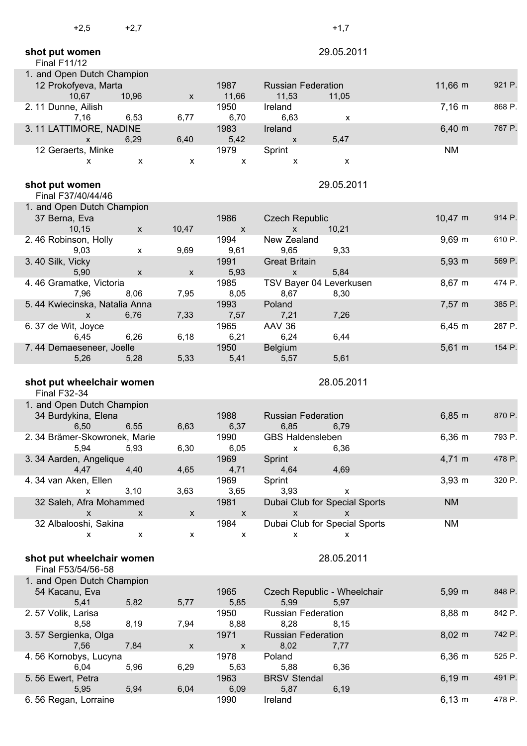| $+2,5$                                           | $+2,7$             |                           |                           |                                                            | $+1,7$       |              |        |
|--------------------------------------------------|--------------------|---------------------------|---------------------------|------------------------------------------------------------|--------------|--------------|--------|
| shot put women<br><b>Final F11/12</b>            |                    |                           |                           |                                                            | 29.05.2011   |              |        |
| 1. and Open Dutch Champion                       |                    |                           |                           |                                                            |              |              |        |
| 12 Prokofyeva, Marta                             |                    |                           | 1987                      | <b>Russian Federation</b>                                  |              | 11,66 m      | 921 P. |
| 10,67<br>2.11 Dunne, Ailish                      | 10,96              | $\boldsymbol{\mathsf{x}}$ | 11,66<br>1950             | 11,53<br>Ireland                                           | 11,05        | $7,16 \, m$  | 868 P. |
| 7,16<br>3.11 LATTIMORE, NADINE                   | 6,53               | 6,77                      | 6,70<br>1983              | 6,63<br>Ireland                                            | X            | $6,40 \; m$  | 767 P. |
| $\mathsf{X}$                                     | 6,29               | 6,40                      | 5,42                      | $\pmb{\mathsf{X}}$                                         | 5,47         |              |        |
| 12 Geraerts, Minke                               |                    |                           | 1979                      | Sprint                                                     |              | <b>NM</b>    |        |
| x                                                | X                  | X                         | $\boldsymbol{\mathsf{x}}$ | $\pmb{\mathsf{x}}$                                         | X            |              |        |
| shot put women<br>Final F37/40/44/46             |                    |                           |                           |                                                            | 29.05.2011   |              |        |
| 1. and Open Dutch Champion                       |                    |                           |                           |                                                            |              |              |        |
| 37 Berna, Eva                                    |                    |                           | 1986                      | <b>Czech Republic</b>                                      |              | $10,47 \; m$ | 914 P. |
| 10,15                                            | X                  | 10,47                     | X                         | X<br>New Zealand                                           | 10,21        | $9,69$ m     | 610 P. |
| 2.46 Robinson, Holly<br>9,03                     | X                  | 9,69                      | 1994<br>9,61              | 9,65                                                       | 9,33         |              |        |
| 3.40 Silk, Vicky                                 |                    |                           | 1991                      | <b>Great Britain</b>                                       |              | $5,93 \; m$  | 569 P. |
| 5,90<br>4.46 Gramatke, Victoria                  | $\pmb{\mathsf{X}}$ | $\pmb{\mathsf{X}}$        | 5,93<br>1985              | $\mathsf{X}$<br>TSV Bayer 04 Leverkusen                    | 5,84         | 8,67 m       | 474 P. |
| 7,96                                             | 8,06               | 7,95                      | 8,05                      | 8,67                                                       | 8,30         |              |        |
| 5.44 Kwiecinska, Natalia Anna                    |                    |                           | 1993                      | Poland                                                     |              | $7,57 \; m$  | 385 P. |
| X                                                | 6,76               | 7,33                      | 7,57<br>1965              | 7,21<br><b>AAV 36</b>                                      | 7,26         | $6,45 \; m$  | 287 P. |
| 6.37 de Wit, Joyce<br>6,45                       | 6,26               | 6,18                      | 6,21                      | 6,24                                                       | 6,44         |              |        |
| 7.44 Demaeseneer, Joelle                         |                    |                           | 1950                      | <b>Belgium</b>                                             |              | $5,61 \; m$  | 154 P. |
| 5,26                                             | 5,28               | 5,33                      | 5,41                      | 5,57                                                       | 5,61         |              |        |
|                                                  |                    |                           |                           |                                                            |              |              |        |
| shot put wheelchair women<br><b>Final F32-34</b> |                    |                           |                           |                                                            | 28.05.2011   |              |        |
| 1. and Open Dutch Champion                       |                    |                           |                           |                                                            |              |              |        |
| 34 Burdykina, Elena                              |                    |                           | 1988                      | <b>Russian Federation</b>                                  |              | $6,85 \; m$  | 870 P. |
| 6,50                                             | 6,55               | 6,63                      | 6,37                      | 6,85                                                       | 6,79         |              |        |
| 2. 34 Brämer-Skowronek, Marie<br>5,94            | 5,93               | 6,30                      | 1990<br>6,05              | <b>GBS Haldensleben</b><br>X                               | 6,36         | $6,36 \, m$  | 793 P. |
| 3.34 Aarden, Angelique                           |                    |                           | 1969                      | Sprint                                                     |              | $4,71 \; m$  | 478 P. |
| 4,47<br>4.34 van Aken, Ellen                     | 4,40               | 4,65                      | 4,71<br>1969              | 4,64<br>Sprint                                             | 4,69         | $3,93 \, m$  | 320 P. |
| X                                                | 3,10               | 3,63                      | 3,65                      | 3,93                                                       | X            |              |        |
| 32 Saleh, Afra Mohammed<br>$\mathsf{x}$          | X                  |                           | 1981<br>X                 | Dubai Club for Special Sports<br>$\boldsymbol{\mathsf{X}}$ | $\mathsf{x}$ | <b>NM</b>    |        |
| 32 Albalooshi, Sakina                            |                    | $\pmb{\mathsf{X}}$        | 1984                      | Dubai Club for Special Sports                              |              | <b>NM</b>    |        |
| x                                                | X                  | X                         | $\boldsymbol{\mathsf{x}}$ | X                                                          | x            |              |        |
| shot put wheelchair women<br>Final F53/54/56-58  |                    |                           |                           |                                                            | 28.05.2011   |              |        |
| 1. and Open Dutch Champion                       |                    |                           |                           |                                                            |              |              |        |
| 54 Kacanu, Eva                                   |                    |                           | 1965                      | Czech Republic - Wheelchair                                |              | 5,99 m       | 848 P. |
| 5,41                                             | 5,82               | 5,77                      | 5,85                      | 5,99                                                       | 5,97         |              |        |
| 2.57 Volik, Larisa<br>8,58                       | 8,19               | 7,94                      | 1950<br>8,88              | <b>Russian Federation</b><br>8,28                          | 8,15         | 8,88 m       | 842 P. |
| 3.57 Sergienka, Olga                             |                    |                           | 1971                      | <b>Russian Federation</b>                                  |              | $8,02 \, m$  | 742 P. |
| 7,56                                             | 7,84               | $\pmb{\mathsf{X}}$        | $\mathsf X$               | 8,02                                                       | 7,77         |              |        |
| 4.56 Kornobys, Lucyna<br>6,04                    | 5,96               | 6,29                      | 1978<br>5,63              | Poland<br>5,88                                             | 6,36         | 6,36 m       | 525 P. |
| 5.56 Ewert, Petra                                |                    |                           | 1963                      | <b>BRSV Stendal</b>                                        |              | $6,19 \; m$  | 491 P. |
| 5,95<br>6.56 Regan, Lorraine                     | 5,94               | 6,04                      | 6,09<br>1990              | 5,87<br>Ireland                                            | 6,19         | $6,13 \; m$  | 478 P. |

L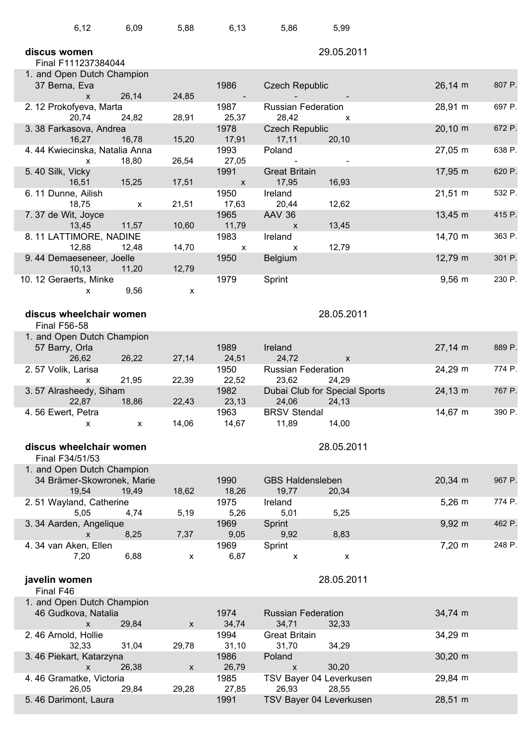| 6,12                                                     | 6,09  | 5,88               | 6, 13                             | 5,86                                       | 5,99           |                     |        |
|----------------------------------------------------------|-------|--------------------|-----------------------------------|--------------------------------------------|----------------|---------------------|--------|
| discus women<br>Final F111237384044                      |       |                    |                                   |                                            | 29.05.2011     |                     |        |
| 1. and Open Dutch Champion                               |       |                    |                                   |                                            |                |                     |        |
| 37 Berna, Eva                                            |       |                    | 1986                              | <b>Czech Republic</b>                      |                | $26,14 \, m$        | 807 P. |
| $\mathsf{x}$<br>2.12 Prokofyeva, Marta                   | 26,14 | 24,85              | 1987                              | <b>Russian Federation</b>                  |                | 28,91 m             | 697 P. |
| 20,74<br>3.38 Farkasova, Andrea                          | 24,82 | 28,91              | 25,37<br>1978                     | 28,42<br><b>Czech Republic</b>             | x              | $20,10 \, \text{m}$ | 672 P. |
| 16,27<br>4.44 Kwiecinska, Natalia Anna                   | 16,78 | 15,20              | 17,91<br>1993                     | 17,11<br>Poland                            | 20,10          | 27,05 m             | 638 P. |
| X<br>5.40 Silk, Vicky                                    | 18,80 | 26,54              | 27,05<br>1991                     | <b>Great Britain</b>                       |                | 17,95 m             | 620 P. |
| 16,51                                                    | 15,25 | 17,51              | $\boldsymbol{\mathsf{x}}$         | 17,95                                      | 16,93          |                     |        |
| 6.11 Dunne, Ailish<br>18,75                              | X     | 21,51              | 1950<br>17,63                     | Ireland<br>20,44                           | 12,62          | $21,51 \; m$        | 532 P. |
| 7.37 de Wit, Joyce<br>13,45                              | 11,57 | 10,60              | 1965<br>11,79                     | <b>AAV 36</b><br>$\boldsymbol{\mathsf{x}}$ | 13,45          | $13,45 \; m$        | 415 P. |
| 8.11 LATTIMORE, NADINE<br>12,88                          | 12,48 | 14,70              | 1983<br>$\boldsymbol{\mathsf{x}}$ | Ireland<br>X                               | 12,79          | 14,70 m             | 363 P. |
| 9.44 Demaeseneer, Joelle<br>10, 13                       | 11,20 | 12,79              | 1950                              | <b>Belgium</b>                             |                | 12,79 m             | 301 P. |
| 10. 12 Geraerts, Minke<br>x                              | 9,56  | X                  | 1979                              | Sprint                                     |                | $9,56 \, m$         | 230 P. |
|                                                          |       |                    |                                   |                                            |                |                     |        |
| discus wheelchair women<br><b>Final F56-58</b>           |       |                    |                                   |                                            | 28.05.2011     |                     |        |
| 1. and Open Dutch Champion                               |       |                    |                                   |                                            |                |                     |        |
| 57 Barry, Orla<br>26,62                                  | 26,22 | 27,14              | 1989<br>24,51                     | Ireland<br>24,72                           | X              | $27,14 \, m$        | 889 P. |
| 2.57 Volik, Larisa<br>X                                  | 21,95 | 22,39              | 1950<br>22,52                     | <b>Russian Federation</b><br>23,62         | 24,29          | 24,29 m             | 774 P. |
| 3.57 Alrasheedy, Siham<br>22,87                          | 18,86 | 22,43              | 1982<br>23,13                     | Dubai Club for Special Sports<br>24,06     | 24,13          | 24,13 m             | 767 P. |
| 4.56 Ewert, Petra                                        |       |                    | 1963                              | <b>BRSV Stendal</b>                        |                | 14,67 m             | 390 P. |
| x                                                        | X     | 14,06              | 14,67                             | 11,89                                      | 14,00          |                     |        |
| discus wheelchair women                                  |       |                    |                                   |                                            | 28.05.2011     |                     |        |
| Final F34/51/53                                          |       |                    |                                   |                                            |                |                     |        |
| 1. and Open Dutch Champion<br>34 Brämer-Skowronek, Marie |       |                    | 1990                              | <b>GBS Haldensleben</b>                    |                | 20,34 m             | 967 P. |
| 19,54<br>2.51 Wayland, Catherine                         | 19,49 | 18,62              | 18,26<br>1975                     | 19,77<br>Ireland                           | 20,34          | $5,26 \, m$         | 774 P. |
| 5,05<br>3. 34 Aarden, Angelique                          | 4,74  | 5,19               | 5,26<br>1969                      | 5,01<br>Sprint                             | 5,25           | $9,92 \, m$         | 462 P. |
| X                                                        | 8,25  | 7,37               | 9,05                              | 9,92                                       | 8,83           |                     |        |
| 4.34 van Aken, Ellen<br>7,20                             | 6,88  | $\pmb{\mathsf{x}}$ | 1969<br>6,87                      | Sprint<br>$\pmb{\mathsf{x}}$               | $\pmb{\times}$ | 7,20 m              | 248 P. |
| javelin women                                            |       |                    |                                   |                                            | 28.05.2011     |                     |        |
| Final F46                                                |       |                    |                                   |                                            |                |                     |        |
| 1. and Open Dutch Champion<br>46 Gudkova, Natalia<br>X   | 29,84 | $\pmb{\mathsf{X}}$ | 1974<br>34,74                     | <b>Russian Federation</b><br>34,71         | 32,33          | 34,74 m             |        |
| 2.46 Arnold, Hollie<br>32,33                             | 31,04 | 29,78              | 1994<br>31,10                     | <b>Great Britain</b><br>31,70              | 34,29          | 34,29 m             |        |
| 3.46 Piekart, Katarzyna<br>$\mathsf{X}$                  | 26,38 |                    | 1986<br>26,79                     | Poland<br>$\mathsf{X}$                     | 30,20          | $30,20 \; m$        |        |
| 4.46 Gramatke, Victoria                                  |       | $\pmb{\mathsf{X}}$ | 1985                              | TSV Bayer 04 Leverkusen                    |                | 29,84 m             |        |
| 26,05<br>5.46 Darimont, Laura                            | 29,84 | 29,28              | 27,85<br>1991                     | 26,93<br>TSV Bayer 04 Leverkusen           | 28,55          | 28,51 m             |        |